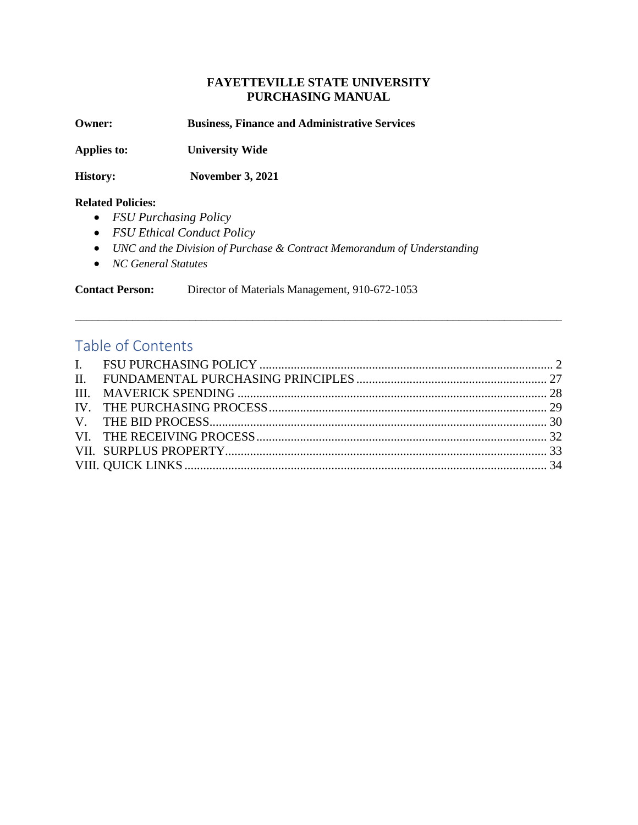### **FAYETTEVILLE STATE UNIVERSITY PURCHASING MANUAL**

**Owner: Business, Finance and Administrative Services**

**Applies to: University Wide**

**History: November 3, 2021**

#### **Related Policies:**

- *FSU Purchasing Policy*
- *FSU Ethical Conduct Policy*
- *[UNC and the Division of Purchase & Contract Memorandum of Understanding](http://www.northcarolina.edu/finance/procurement/PC__Memo.pdf)*
- *NC General Statutes*

**Contact Person:** Director of Materials Management, 910-672-1053

# Table of Contents

\_\_\_\_\_\_\_\_\_\_\_\_\_\_\_\_\_\_\_\_\_\_\_\_\_\_\_\_\_\_\_\_\_\_\_\_\_\_\_\_\_\_\_\_\_\_\_\_\_\_\_\_\_\_\_\_\_\_\_\_\_\_\_\_\_\_\_\_\_\_\_\_\_\_\_\_\_\_\_\_\_\_\_\_\_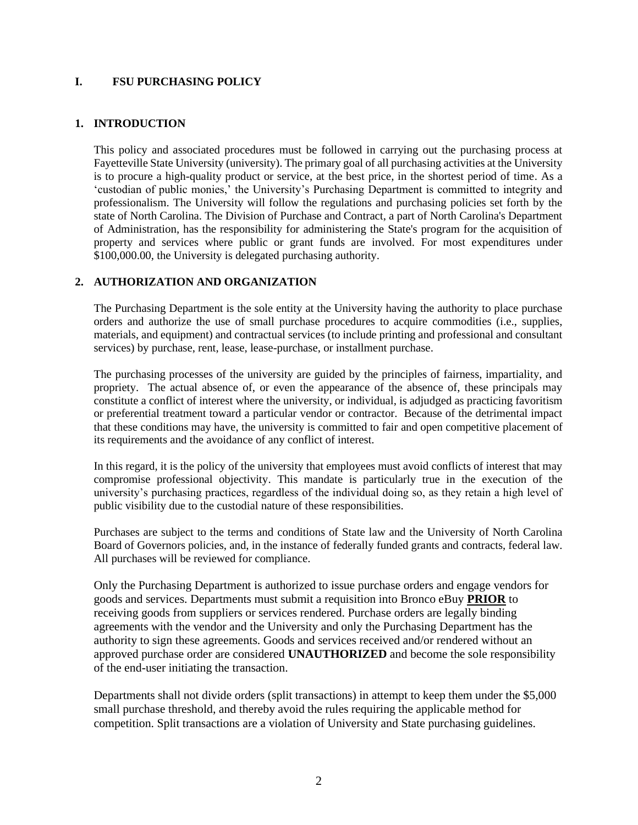#### <span id="page-1-0"></span>**I. FSU PURCHASING POLICY**

### **1. INTRODUCTION**

This policy and associated procedures must be followed in carrying out the purchasing process at Fayetteville State University (university). The primary goal of all purchasing activities at the University is to procure a high-quality product or service, at the best price, in the shortest period of time. As a 'custodian of public monies,' the University's Purchasing Department is committed to integrity and professionalism. The University will follow the regulations and purchasing policies set forth by the state of North Carolina. The Division of Purchase and Contract, a part of North Carolina's Department of Administration, has the responsibility for administering the State's program for the acquisition of property and services where public or grant funds are involved. For most expenditures under \$100,000.00, the University is delegated purchasing authority.

#### **2. AUTHORIZATION AND ORGANIZATION**

The Purchasing Department is the sole entity at the University having the authority to place purchase orders and authorize the use of small purchase procedures to acquire commodities (i.e., supplies, materials, and equipment) and contractual services (to include printing and professional and consultant services) by purchase, rent, lease, lease-purchase, or installment purchase.

The purchasing processes of the university are guided by the principles of fairness, impartiality, and propriety. The actual absence of, or even the appearance of the absence of, these principals may constitute a conflict of interest where the university, or individual, is adjudged as practicing favoritism or preferential treatment toward a particular vendor or contractor. Because of the detrimental impact that these conditions may have, the university is committed to fair and open competitive placement of its requirements and the avoidance of any conflict of interest.

In this regard, it is the policy of the university that employees must avoid conflicts of interest that may compromise professional objectivity. This mandate is particularly true in the execution of the university's purchasing practices, regardless of the individual doing so, as they retain a high level of public visibility due to the custodial nature of these responsibilities.

Purchases are subject to the terms and conditions of State law and the University of North Carolina Board of Governors policies, and, in the instance of federally funded grants and contracts, federal law. All purchases will be reviewed for compliance.

Only the Purchasing Department is authorized to issue purchase orders and engage vendors for goods and services. Departments must submit a requisition into Bronco eBuy **PRIOR** to receiving goods from suppliers or services rendered. Purchase orders are legally binding agreements with the vendor and the University and only the Purchasing Department has the authority to sign these agreements. Goods and services received and/or rendered without an approved purchase order are considered **UNAUTHORIZED** and become the sole responsibility of the end-user initiating the transaction.

Departments shall not divide orders (split transactions) in attempt to keep them under the \$5,000 small purchase threshold, and thereby avoid the rules requiring the applicable method for competition. Split transactions are a violation of University and State purchasing guidelines.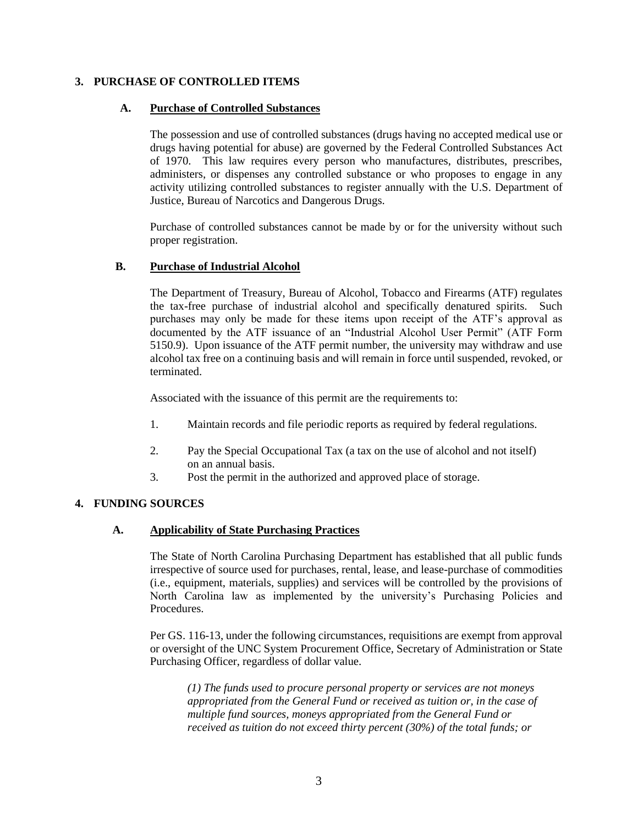#### **3. PURCHASE OF CONTROLLED ITEMS**

#### **A. Purchase of Controlled Substances**

The possession and use of controlled substances (drugs having no accepted medical use or drugs having potential for abuse) are governed by the Federal Controlled Substances Act of 1970. This law requires every person who manufactures, distributes, prescribes, administers, or dispenses any controlled substance or who proposes to engage in any activity utilizing controlled substances to register annually with the U.S. Department of Justice, Bureau of Narcotics and Dangerous Drugs.

Purchase of controlled substances cannot be made by or for the university without such proper registration.

#### **B. Purchase of Industrial Alcohol**

The Department of Treasury, Bureau of Alcohol, Tobacco and Firearms (ATF) regulates the tax-free purchase of industrial alcohol and specifically denatured spirits. Such purchases may only be made for these items upon receipt of the ATF's approval as documented by the ATF issuance of an "Industrial Alcohol User Permit" (ATF Form 5150.9). Upon issuance of the ATF permit number, the university may withdraw and use alcohol tax free on a continuing basis and will remain in force until suspended, revoked, or terminated.

Associated with the issuance of this permit are the requirements to:

- 1. Maintain records and file periodic reports as required by federal regulations.
- 2. Pay the Special Occupational Tax (a tax on the use of alcohol and not itself) on an annual basis.
- 3. Post the permit in the authorized and approved place of storage.

#### **4. FUNDING SOURCES**

#### **A. Applicability of State Purchasing Practices**

The State of North Carolina Purchasing Department has established that all public funds irrespective of source used for purchases, rental, lease, and lease-purchase of commodities (i.e., equipment, materials, supplies) and services will be controlled by the provisions of North Carolina law as implemented by the university's Purchasing Policies and **Procedures** 

Per GS. 116-13, under the following circumstances, requisitions are exempt from approval or oversight of the UNC System Procurement Office, Secretary of Administration or State Purchasing Officer, regardless of dollar value.

*(1) The funds used to procure personal property or services are not moneys appropriated from the General Fund or received as tuition or, in the case of multiple fund sources, moneys appropriated from the General Fund or received as tuition do not exceed thirty percent (30%) of the total funds; or*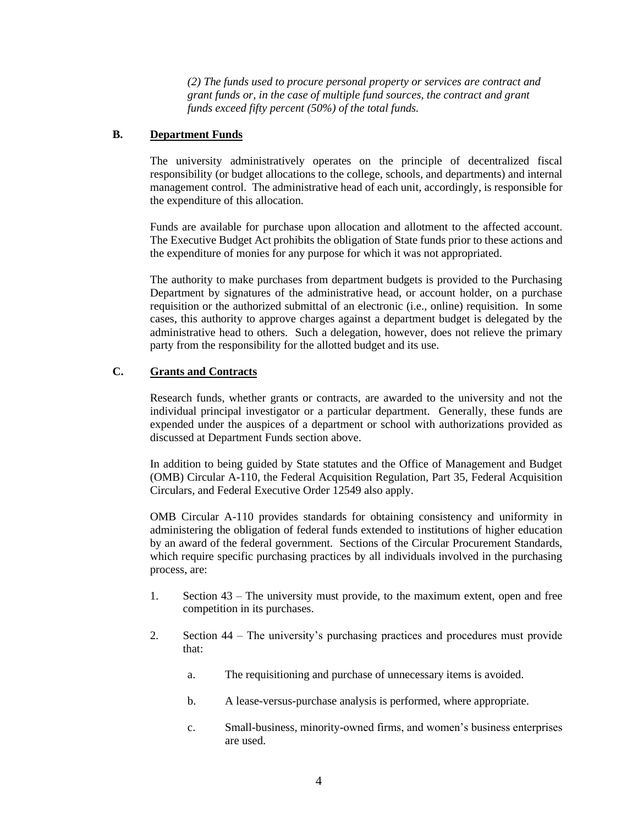*(2) The funds used to procure personal property or services are contract and grant funds or, in the case of multiple fund sources, the contract and grant funds exceed fifty percent (50%) of the total funds.*

#### **B. Department Funds**

The university administratively operates on the principle of decentralized fiscal responsibility (or budget allocations to the college, schools, and departments) and internal management control. The administrative head of each unit, accordingly, is responsible for the expenditure of this allocation.

Funds are available for purchase upon allocation and allotment to the affected account. The Executive Budget Act prohibits the obligation of State funds prior to these actions and the expenditure of monies for any purpose for which it was not appropriated.

The authority to make purchases from department budgets is provided to the Purchasing Department by signatures of the administrative head, or account holder, on a purchase requisition or the authorized submittal of an electronic (i.e., online) requisition. In some cases, this authority to approve charges against a department budget is delegated by the administrative head to others. Such a delegation, however, does not relieve the primary party from the responsibility for the allotted budget and its use.

#### **C. Grants and Contracts**

Research funds, whether grants or contracts, are awarded to the university and not the individual principal investigator or a particular department. Generally, these funds are expended under the auspices of a department or school with authorizations provided as discussed at Department Funds section above.

In addition to being guided by State statutes and the Office of Management and Budget (OMB) Circular A-110, the Federal Acquisition Regulation, Part 35, Federal Acquisition Circulars, and Federal Executive Order 12549 also apply.

OMB Circular A-110 provides standards for obtaining consistency and uniformity in administering the obligation of federal funds extended to institutions of higher education by an award of the federal government. Sections of the Circular Procurement Standards, which require specific purchasing practices by all individuals involved in the purchasing process, are:

- 1. Section 43 The university must provide, to the maximum extent, open and free competition in its purchases.
- 2. Section 44 The university's purchasing practices and procedures must provide that:
	- a. The requisitioning and purchase of unnecessary items is avoided.
	- b. A lease-versus-purchase analysis is performed, where appropriate.
	- c. Small-business, minority-owned firms, and women's business enterprises are used.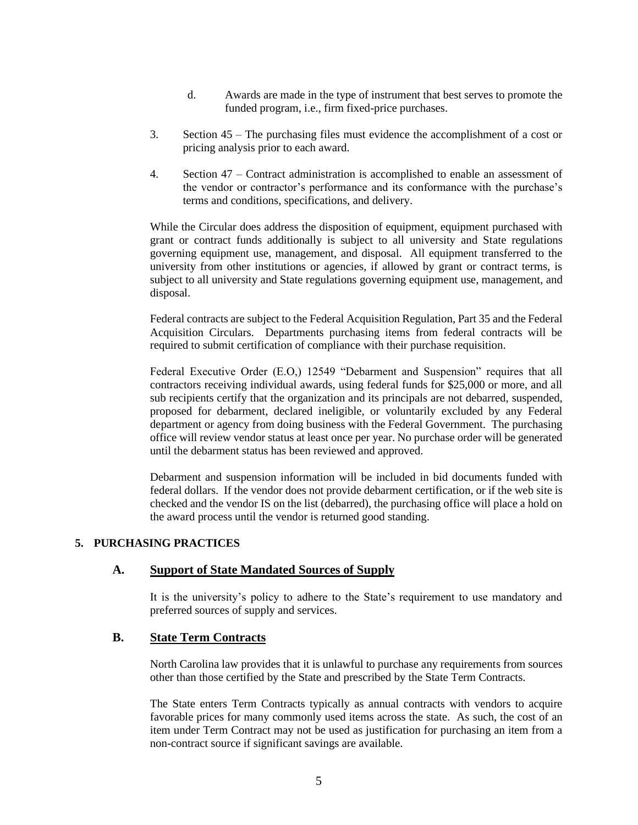- d. Awards are made in the type of instrument that best serves to promote the funded program, i.e., firm fixed-price purchases.
- 3. Section 45 The purchasing files must evidence the accomplishment of a cost or pricing analysis prior to each award.
- 4. Section 47 Contract administration is accomplished to enable an assessment of the vendor or contractor's performance and its conformance with the purchase's terms and conditions, specifications, and delivery.

While the Circular does address the disposition of equipment, equipment purchased with grant or contract funds additionally is subject to all university and State regulations governing equipment use, management, and disposal. All equipment transferred to the university from other institutions or agencies, if allowed by grant or contract terms, is subject to all university and State regulations governing equipment use, management, and disposal.

Federal contracts are subject to the Federal Acquisition Regulation, Part 35 and the Federal Acquisition Circulars. Departments purchasing items from federal contracts will be required to submit certification of compliance with their purchase requisition.

Federal Executive Order (E.O,) 12549 "Debarment and Suspension" requires that all contractors receiving individual awards, using federal funds for \$25,000 or more, and all sub recipients certify that the organization and its principals are not debarred, suspended, proposed for debarment, declared ineligible, or voluntarily excluded by any Federal department or agency from doing business with the Federal Government. The purchasing office will review vendor status at least once per year. No purchase order will be generated until the debarment status has been reviewed and approved.

Debarment and suspension information will be included in bid documents funded with federal dollars. If the vendor does not provide debarment certification, or if the web site is checked and the vendor IS on the list (debarred), the purchasing office will place a hold on the award process until the vendor is returned good standing.

#### **5. PURCHASING PRACTICES**

#### **A. Support of State Mandated Sources of Supply**

It is the university's policy to adhere to the State's requirement to use mandatory and preferred sources of supply and services.

### **B. State Term Contracts**

North Carolina law provides that it is unlawful to purchase any requirements from sources other than those certified by the State and prescribed by the State Term Contracts.

The State enters Term Contracts typically as annual contracts with vendors to acquire favorable prices for many commonly used items across the state. As such, the cost of an item under Term Contract may not be used as justification for purchasing an item from a non-contract source if significant savings are available.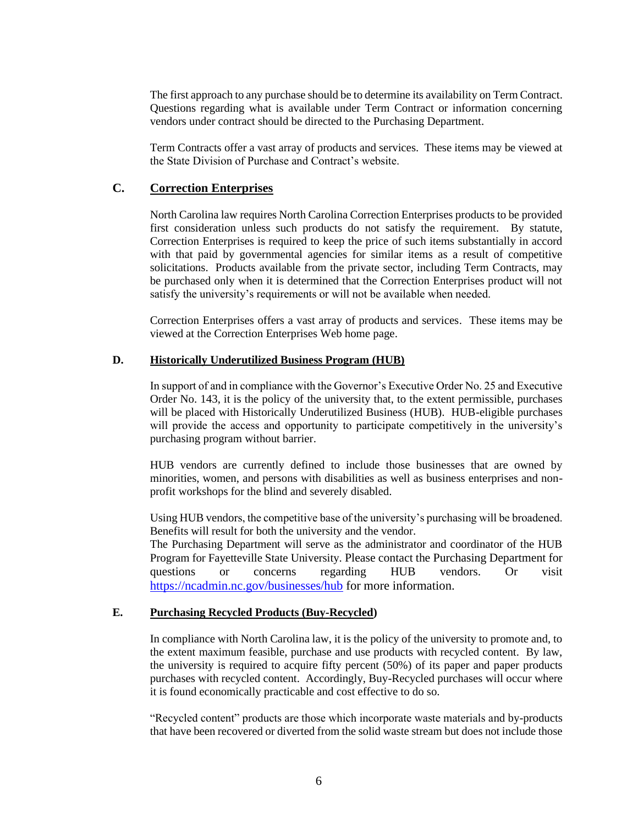The first approach to any purchase should be to determine its availability on Term Contract. Questions regarding what is available under Term Contract or information concerning vendors under contract should be directed to the Purchasing Department.

Term Contracts offer a vast array of products and services. These items may be viewed at the State Division of Purchase and Contract's website.

### **C. Correction Enterprises**

North Carolina law requires North Carolina Correction Enterprises products to be provided first consideration unless such products do not satisfy the requirement. By statute, Correction Enterprises is required to keep the price of such items substantially in accord with that paid by governmental agencies for similar items as a result of competitive solicitations. Products available from the private sector, including Term Contracts, may be purchased only when it is determined that the Correction Enterprises product will not satisfy the university's requirements or will not be available when needed.

Correction Enterprises offers a vast array of products and services. These items may be viewed at the Correction Enterprises Web home page.

#### **D. Historically Underutilized Business Program (HUB)**

In support of and in compliance with the Governor's Executive Order No. 25 and Executive Order No. 143, it is the policy of the university that, to the extent permissible, purchases will be placed with Historically Underutilized Business (HUB). HUB-eligible purchases will provide the access and opportunity to participate competitively in the university's purchasing program without barrier.

HUB vendors are currently defined to include those businesses that are owned by minorities, women, and persons with disabilities as well as business enterprises and nonprofit workshops for the blind and severely disabled.

Using HUB vendors, the competitive base of the university's purchasing will be broadened. Benefits will result for both the university and the vendor.

The Purchasing Department will serve as the administrator and coordinator of the HUB Program for Fayetteville State University. Please contact the Purchasing Department for questions or concerns regarding HUB vendors. Or visit <https://ncadmin.nc.gov/businesses/hub> for more information.

#### **E. Purchasing Recycled Products (Buy-Recycled)**

In compliance with North Carolina law, it is the policy of the university to promote and, to the extent maximum feasible, purchase and use products with recycled content. By law, the university is required to acquire fifty percent (50%) of its paper and paper products purchases with recycled content. Accordingly, Buy-Recycled purchases will occur where it is found economically practicable and cost effective to do so.

"Recycled content" products are those which incorporate waste materials and by-products that have been recovered or diverted from the solid waste stream but does not include those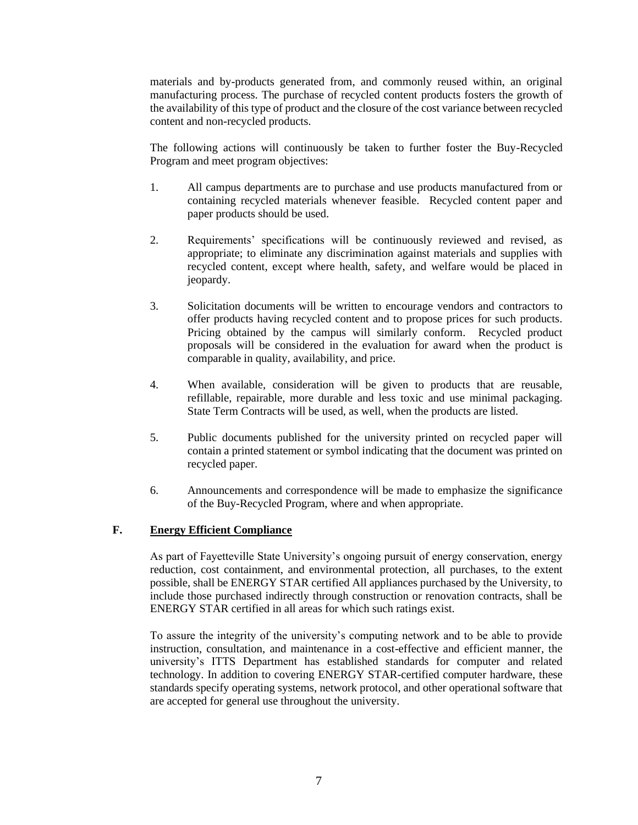materials and by-products generated from, and commonly reused within, an original manufacturing process. The purchase of recycled content products fosters the growth of the availability of this type of product and the closure of the cost variance between recycled content and non-recycled products.

The following actions will continuously be taken to further foster the Buy-Recycled Program and meet program objectives:

- 1. All campus departments are to purchase and use products manufactured from or containing recycled materials whenever feasible. Recycled content paper and paper products should be used.
- 2. Requirements' specifications will be continuously reviewed and revised, as appropriate; to eliminate any discrimination against materials and supplies with recycled content, except where health, safety, and welfare would be placed in jeopardy.
- 3. Solicitation documents will be written to encourage vendors and contractors to offer products having recycled content and to propose prices for such products. Pricing obtained by the campus will similarly conform. Recycled product proposals will be considered in the evaluation for award when the product is comparable in quality, availability, and price.
- 4. When available, consideration will be given to products that are reusable, refillable, repairable, more durable and less toxic and use minimal packaging. State Term Contracts will be used, as well, when the products are listed.
- 5. Public documents published for the university printed on recycled paper will contain a printed statement or symbol indicating that the document was printed on recycled paper.
- 6. Announcements and correspondence will be made to emphasize the significance of the Buy-Recycled Program, where and when appropriate.

#### **F. Energy Efficient Compliance**

As part of Fayetteville State University's ongoing pursuit of energy conservation, energy reduction, cost containment, and environmental protection, all purchases, to the extent possible, shall be ENERGY STAR certified All appliances purchased by the University, to include those purchased indirectly through construction or renovation contracts, shall be ENERGY STAR certified in all areas for which such ratings exist.

To assure the integrity of the university's computing network and to be able to provide instruction, consultation, and maintenance in a cost-effective and efficient manner, the university's ITTS Department has established standards for computer and related technology. In addition to covering ENERGY STAR-certified computer hardware, these standards specify operating systems, network protocol, and other operational software that are accepted for general use throughout the university.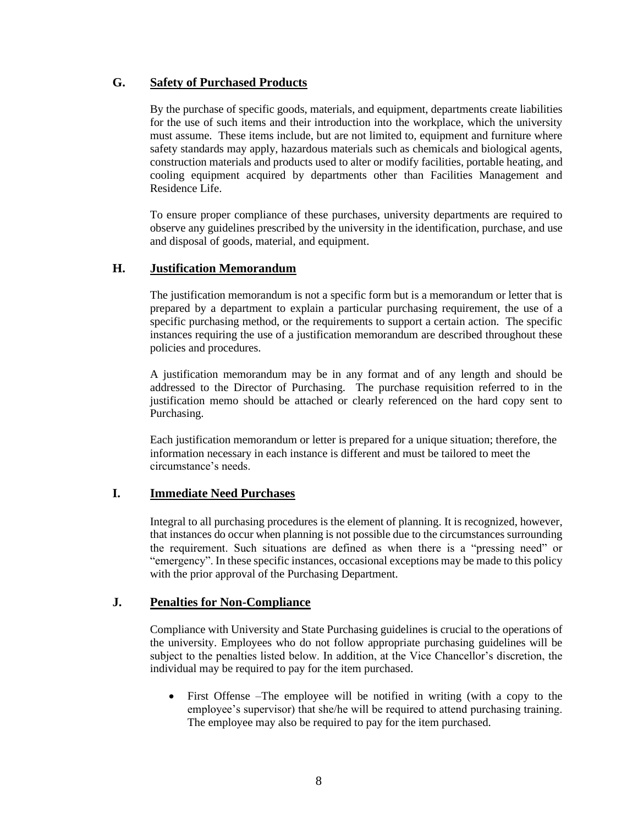### **G. Safety of Purchased Products**

By the purchase of specific goods, materials, and equipment, departments create liabilities for the use of such items and their introduction into the workplace, which the university must assume. These items include, but are not limited to, equipment and furniture where safety standards may apply, hazardous materials such as chemicals and biological agents, construction materials and products used to alter or modify facilities, portable heating, and cooling equipment acquired by departments other than Facilities Management and Residence Life.

To ensure proper compliance of these purchases, university departments are required to observe any guidelines prescribed by the university in the identification, purchase, and use and disposal of goods, material, and equipment.

### **H. Justification Memorandum**

The justification memorandum is not a specific form but is a memorandum or letter that is prepared by a department to explain a particular purchasing requirement, the use of a specific purchasing method, or the requirements to support a certain action. The specific instances requiring the use of a justification memorandum are described throughout these policies and procedures.

A justification memorandum may be in any format and of any length and should be addressed to the Director of Purchasing. The purchase requisition referred to in the justification memo should be attached or clearly referenced on the hard copy sent to Purchasing.

Each justification memorandum or letter is prepared for a unique situation; therefore, the information necessary in each instance is different and must be tailored to meet the circumstance's needs.

### **I. Immediate Need Purchases**

Integral to all purchasing procedures is the element of planning. It is recognized, however, that instances do occur when planning is not possible due to the circumstances surrounding the requirement. Such situations are defined as when there is a "pressing need" or "emergency". In these specific instances, occasional exceptions may be made to this policy with the prior approval of the Purchasing Department.

### **J. Penalties for Non-Compliance**

Compliance with University and State Purchasing guidelines is crucial to the operations of the university. Employees who do not follow appropriate purchasing guidelines will be subject to the penalties listed below. In addition, at the Vice Chancellor's discretion, the individual may be required to pay for the item purchased.

• First Offense –The employee will be notified in writing (with a copy to the employee's supervisor) that she/he will be required to attend purchasing training. The employee may also be required to pay for the item purchased.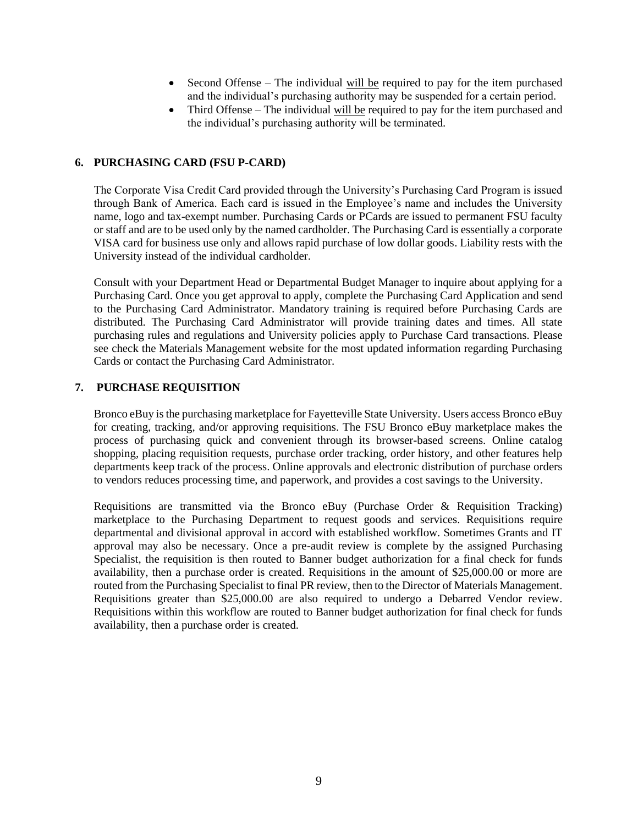- Second Offense The individual will be required to pay for the item purchased and the individual's purchasing authority may be suspended for a certain period.
- Third Offense The individual will be required to pay for the item purchased and the individual's purchasing authority will be terminated.

#### **6. PURCHASING CARD (FSU P-CARD)**

The Corporate Visa Credit Card provided through the University's Purchasing Card Program is issued through Bank of America. Each card is issued in the Employee's name and includes the University name, logo and tax-exempt number. Purchasing Cards or PCards are issued to permanent FSU faculty or staff and are to be used only by the named cardholder. The Purchasing Card is essentially a corporate VISA card for business use only and allows rapid purchase of low dollar goods. Liability rests with the University instead of the individual cardholder.

Consult with your Department Head or Departmental Budget Manager to inquire about applying for a Purchasing Card. Once you get approval to apply, complete the Purchasing Card Application and send to the Purchasing Card Administrator. Mandatory training is required before Purchasing Cards are distributed. The Purchasing Card Administrator will provide training dates and times. All state purchasing rules and regulations and University policies apply to Purchase Card transactions. Please see check the Materials Management website for the most updated information regarding Purchasing Cards or contact the Purchasing Card Administrator.

#### **7. PURCHASE REQUISITION**

Bronco eBuy is the purchasing marketplace for Fayetteville State University. Users access Bronco eBuy for creating, tracking, and/or approving requisitions. The FSU Bronco eBuy marketplace makes the process of purchasing quick and convenient through its browser-based screens. Online catalog shopping, placing requisition requests, purchase order tracking, order history, and other features help departments keep track of the process. Online approvals and electronic distribution of purchase orders to vendors reduces processing time, and paperwork, and provides a cost savings to the University.

Requisitions are transmitted via the Bronco eBuy (Purchase Order & Requisition Tracking) marketplace to the Purchasing Department to request goods and services. Requisitions require departmental and divisional approval in accord with established workflow. Sometimes Grants and IT approval may also be necessary. Once a pre-audit review is complete by the assigned Purchasing Specialist, the requisition is then routed to Banner budget authorization for a final check for funds availability, then a purchase order is created. Requisitions in the amount of \$25,000.00 or more are routed from the Purchasing Specialist to final PR review, then to the Director of Materials Management. Requisitions greater than \$25,000.00 are also required to undergo a Debarred Vendor review. Requisitions within this workflow are routed to Banner budget authorization for final check for funds availability, then a purchase order is created.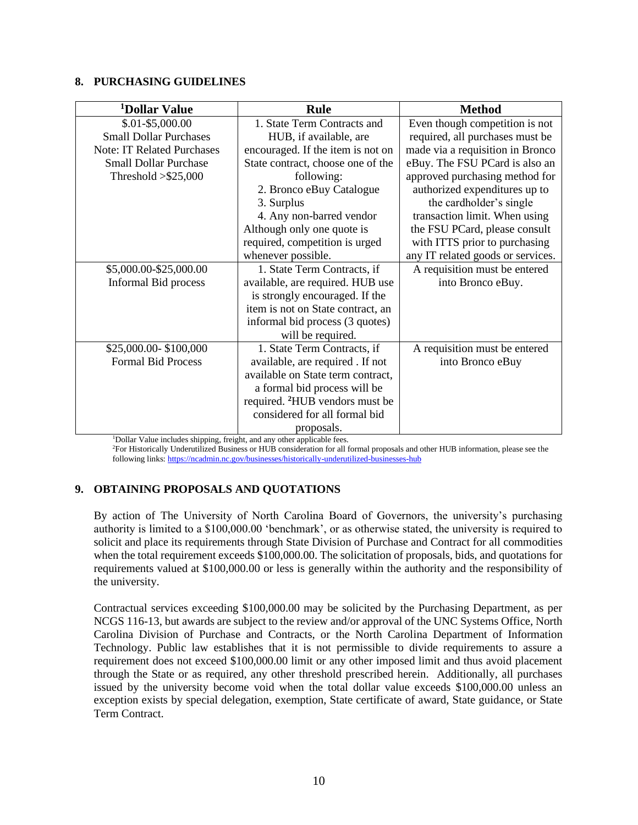#### **8. PURCHASING GUIDELINES**

| <sup>1</sup> Dollar Value         | <b>Rule</b>                                | <b>Method</b>                     |
|-----------------------------------|--------------------------------------------|-----------------------------------|
| $$.01 - $5,000.00$                | 1. State Term Contracts and                | Even though competition is not    |
| <b>Small Dollar Purchases</b>     | HUB, if available, are                     | required, all purchases must be   |
| <b>Note: IT Related Purchases</b> | encouraged. If the item is not on          | made via a requisition in Bronco  |
| <b>Small Dollar Purchase</b>      | State contract, choose one of the          | eBuy. The FSU PCard is also an    |
| Threshold $> $25,000$             | following:                                 | approved purchasing method for    |
|                                   | 2. Bronco eBuy Catalogue                   | authorized expenditures up to     |
|                                   | 3. Surplus                                 | the cardholder's single           |
|                                   | 4. Any non-barred vendor                   | transaction limit. When using     |
|                                   | Although only one quote is                 | the FSU PCard, please consult     |
|                                   | required, competition is urged             | with ITTS prior to purchasing     |
|                                   | whenever possible.                         | any IT related goods or services. |
| \$5,000.00-\$25,000.00            | 1. State Term Contracts, if                | A requisition must be entered     |
| Informal Bid process              | available, are required. HUB use           | into Bronco eBuy.                 |
|                                   | is strongly encouraged. If the             |                                   |
|                                   | item is not on State contract, an          |                                   |
|                                   | informal bid process (3 quotes)            |                                   |
|                                   | will be required.                          |                                   |
| \$25,000.00-\$100,000             | 1. State Term Contracts, if                | A requisition must be entered     |
| <b>Formal Bid Process</b>         | available, are required. If not            | into Bronco eBuy                  |
|                                   | available on State term contract,          |                                   |
|                                   | a formal bid process will be               |                                   |
|                                   | required. <sup>2</sup> HUB vendors must be |                                   |
|                                   | considered for all formal bid              |                                   |
|                                   | proposals.                                 |                                   |

<sup>1</sup>Dollar Value includes shipping, freight, and any other applicable fees.

<sup>2</sup>For Historically Underutilized Business or HUB consideration for all formal proposals and other HUB information, please see the following links:<https://ncadmin.nc.gov/businesses/historically-underutilized-businesses-hub>

### **9. OBTAINING PROPOSALS AND QUOTATIONS**

By action of The University of North Carolina Board of Governors, the university's purchasing authority is limited to a \$100,000.00 'benchmark', or as otherwise stated, the university is required to solicit and place its requirements through State Division of Purchase and Contract for all commodities when the total requirement exceeds \$100,000.00. The solicitation of proposals, bids, and quotations for requirements valued at \$100,000.00 or less is generally within the authority and the responsibility of the university.

Contractual services exceeding \$100,000.00 may be solicited by the Purchasing Department, as per NCGS 116-13, but awards are subject to the review and/or approval of the UNC Systems Office, North Carolina Division of Purchase and Contracts, or the North Carolina Department of Information Technology. Public law establishes that it is not permissible to divide requirements to assure a requirement does not exceed \$100,000.00 limit or any other imposed limit and thus avoid placement through the State or as required, any other threshold prescribed herein. Additionally, all purchases issued by the university become void when the total dollar value exceeds \$100,000.00 unless an exception exists by special delegation, exemption, State certificate of award, State guidance, or State Term Contract.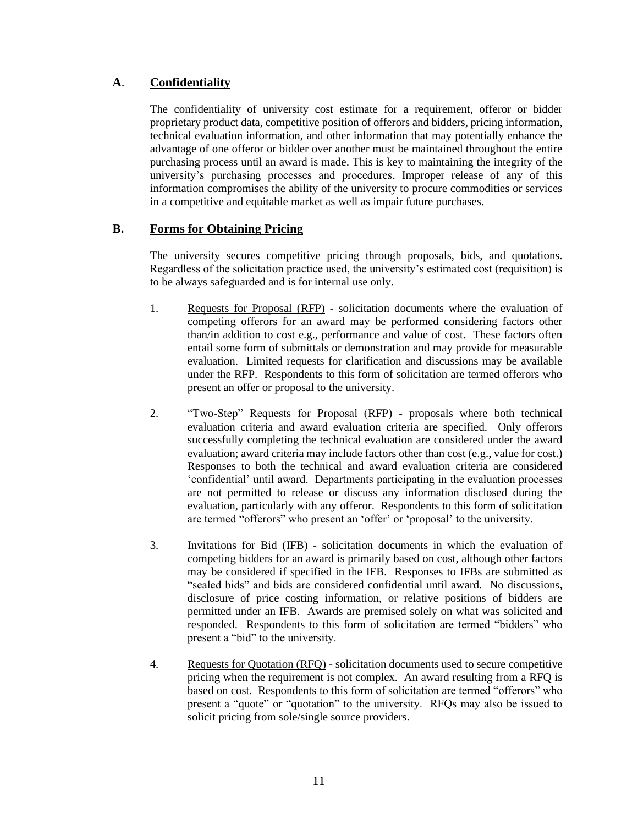## **A**. **Confidentiality**

The confidentiality of university cost estimate for a requirement, offeror or bidder proprietary product data, competitive position of offerors and bidders, pricing information, technical evaluation information, and other information that may potentially enhance the advantage of one offeror or bidder over another must be maintained throughout the entire purchasing process until an award is made. This is key to maintaining the integrity of the university's purchasing processes and procedures. Improper release of any of this information compromises the ability of the university to procure commodities or services in a competitive and equitable market as well as impair future purchases.

### **B. Forms for Obtaining Pricing**

The university secures competitive pricing through proposals, bids, and quotations. Regardless of the solicitation practice used, the university's estimated cost (requisition) is to be always safeguarded and is for internal use only.

- 1. Requests for Proposal (RFP) solicitation documents where the evaluation of competing offerors for an award may be performed considering factors other than/in addition to cost e.g., performance and value of cost. These factors often entail some form of submittals or demonstration and may provide for measurable evaluation. Limited requests for clarification and discussions may be available under the RFP. Respondents to this form of solicitation are termed offerors who present an offer or proposal to the university.
- 2. "Two-Step" Requests for Proposal (RFP) proposals where both technical evaluation criteria and award evaluation criteria are specified. Only offerors successfully completing the technical evaluation are considered under the award evaluation; award criteria may include factors other than cost (e.g., value for cost.) Responses to both the technical and award evaluation criteria are considered 'confidential' until award. Departments participating in the evaluation processes are not permitted to release or discuss any information disclosed during the evaluation, particularly with any offeror. Respondents to this form of solicitation are termed "offerors" who present an 'offer' or 'proposal' to the university.
- 3. Invitations for Bid (IFB) solicitation documents in which the evaluation of competing bidders for an award is primarily based on cost, although other factors may be considered if specified in the IFB. Responses to IFBs are submitted as "sealed bids" and bids are considered confidential until award. No discussions, disclosure of price costing information, or relative positions of bidders are permitted under an IFB. Awards are premised solely on what was solicited and responded. Respondents to this form of solicitation are termed "bidders" who present a "bid" to the university.
- 4. Requests for Quotation (RFQ) solicitation documents used to secure competitive pricing when the requirement is not complex. An award resulting from a RFQ is based on cost. Respondents to this form of solicitation are termed "offerors" who present a "quote" or "quotation" to the university. RFQs may also be issued to solicit pricing from sole/single source providers.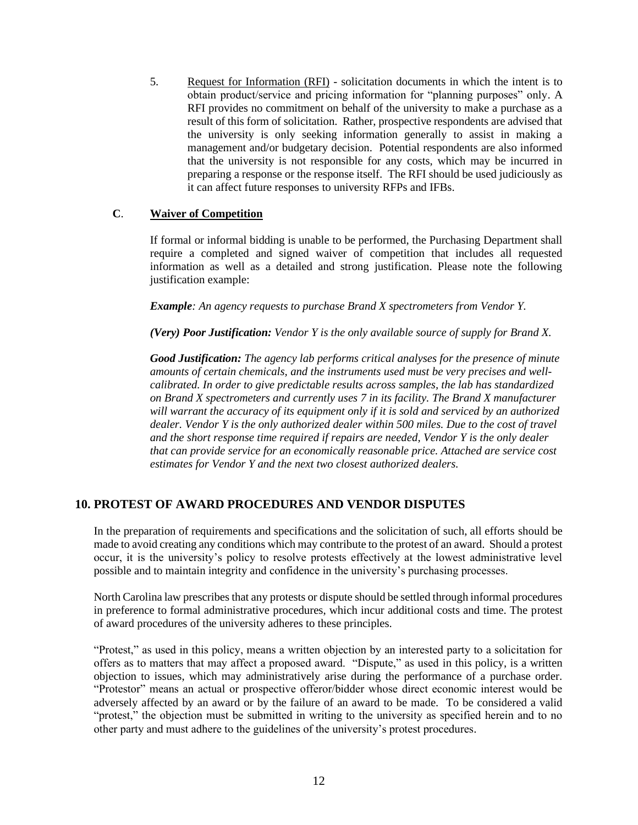5. Request for Information (RFI) - solicitation documents in which the intent is to obtain product/service and pricing information for "planning purposes" only. A RFI provides no commitment on behalf of the university to make a purchase as a result of this form of solicitation. Rather, prospective respondents are advised that the university is only seeking information generally to assist in making a management and/or budgetary decision. Potential respondents are also informed that the university is not responsible for any costs, which may be incurred in preparing a response or the response itself. The RFI should be used judiciously as it can affect future responses to university RFPs and IFBs.

#### **C**. **Waiver of Competition**

If formal or informal bidding is unable to be performed, the Purchasing Department shall require a completed and signed waiver of competition that includes all requested information as well as a detailed and strong justification. Please note the following justification example:

*Example: An agency requests to purchase Brand X spectrometers from Vendor Y.*

*(Very) Poor Justification: Vendor Y is the only available source of supply for Brand X.*

*Good Justification: The agency lab performs critical analyses for the presence of minute amounts of certain chemicals, and the instruments used must be very precises and wellcalibrated. In order to give predictable results across samples, the lab has standardized on Brand X spectrometers and currently uses 7 in its facility. The Brand X manufacturer will warrant the accuracy of its equipment only if it is sold and serviced by an authorized dealer. Vendor Y is the only authorized dealer within 500 miles. Due to the cost of travel and the short response time required if repairs are needed, Vendor Y is the only dealer that can provide service for an economically reasonable price. Attached are service cost estimates for Vendor Y and the next two closest authorized dealers.*

### **10. PROTEST OF AWARD PROCEDURES AND VENDOR DISPUTES**

In the preparation of requirements and specifications and the solicitation of such, all efforts should be made to avoid creating any conditions which may contribute to the protest of an award. Should a protest occur, it is the university's policy to resolve protests effectively at the lowest administrative level possible and to maintain integrity and confidence in the university's purchasing processes.

North Carolina law prescribes that any protests or dispute should be settled through informal procedures in preference to formal administrative procedures, which incur additional costs and time. The protest of award procedures of the university adheres to these principles.

"Protest," as used in this policy, means a written objection by an interested party to a solicitation for offers as to matters that may affect a proposed award. "Dispute," as used in this policy, is a written objection to issues, which may administratively arise during the performance of a purchase order. "Protestor" means an actual or prospective offeror/bidder whose direct economic interest would be adversely affected by an award or by the failure of an award to be made. To be considered a valid "protest," the objection must be submitted in writing to the university as specified herein and to no other party and must adhere to the guidelines of the university's protest procedures.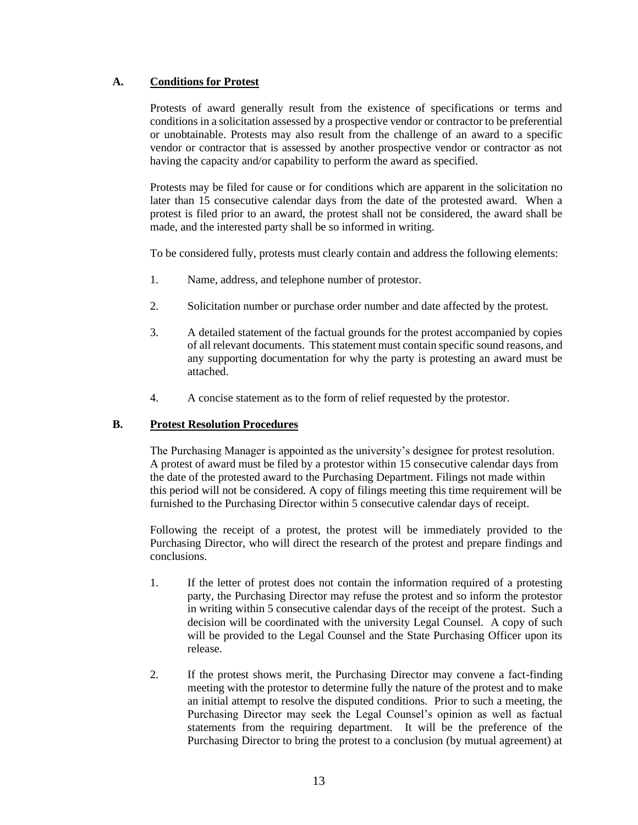#### **A. Conditions for Protest**

Protests of award generally result from the existence of specifications or terms and conditions in a solicitation assessed by a prospective vendor or contractor to be preferential or unobtainable. Protests may also result from the challenge of an award to a specific vendor or contractor that is assessed by another prospective vendor or contractor as not having the capacity and/or capability to perform the award as specified.

Protests may be filed for cause or for conditions which are apparent in the solicitation no later than 15 consecutive calendar days from the date of the protested award. When a protest is filed prior to an award, the protest shall not be considered, the award shall be made, and the interested party shall be so informed in writing.

To be considered fully, protests must clearly contain and address the following elements:

- 1. Name, address, and telephone number of protestor.
- 2. Solicitation number or purchase order number and date affected by the protest.
- 3. A detailed statement of the factual grounds for the protest accompanied by copies of all relevant documents. This statement must contain specific sound reasons, and any supporting documentation for why the party is protesting an award must be attached.
- 4. A concise statement as to the form of relief requested by the protestor.

#### **B. Protest Resolution Procedures**

The Purchasing Manager is appointed as the university's designee for protest resolution. A protest of award must be filed by a protestor within 15 consecutive calendar days from the date of the protested award to the Purchasing Department. Filings not made within this period will not be considered. A copy of filings meeting this time requirement will be furnished to the Purchasing Director within 5 consecutive calendar days of receipt.

Following the receipt of a protest, the protest will be immediately provided to the Purchasing Director, who will direct the research of the protest and prepare findings and conclusions.

- 1. If the letter of protest does not contain the information required of a protesting party, the Purchasing Director may refuse the protest and so inform the protestor in writing within 5 consecutive calendar days of the receipt of the protest. Such a decision will be coordinated with the university Legal Counsel. A copy of such will be provided to the Legal Counsel and the State Purchasing Officer upon its release.
- 2. If the protest shows merit, the Purchasing Director may convene a fact-finding meeting with the protestor to determine fully the nature of the protest and to make an initial attempt to resolve the disputed conditions. Prior to such a meeting, the Purchasing Director may seek the Legal Counsel's opinion as well as factual statements from the requiring department. It will be the preference of the Purchasing Director to bring the protest to a conclusion (by mutual agreement) at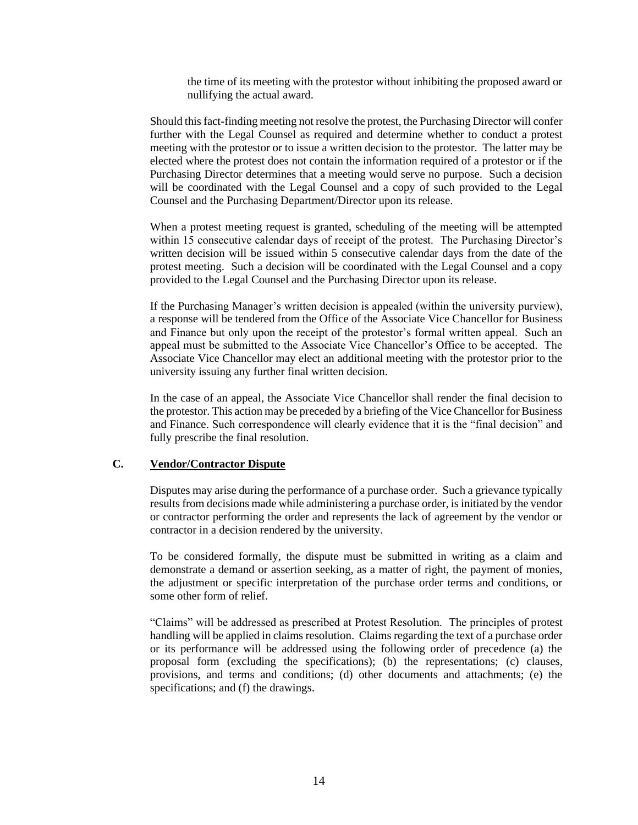the time of its meeting with the protestor without inhibiting the proposed award or nullifying the actual award.

Should this fact-finding meeting not resolve the protest, the Purchasing Director will confer further with the Legal Counsel as required and determine whether to conduct a protest meeting with the protestor or to issue a written decision to the protestor. The latter may be elected where the protest does not contain the information required of a protestor or if the Purchasing Director determines that a meeting would serve no purpose. Such a decision will be coordinated with the Legal Counsel and a copy of such provided to the Legal Counsel and the Purchasing Department/Director upon its release.

When a protest meeting request is granted, scheduling of the meeting will be attempted within 15 consecutive calendar days of receipt of the protest. The Purchasing Director's written decision will be issued within 5 consecutive calendar days from the date of the protest meeting. Such a decision will be coordinated with the Legal Counsel and a copy provided to the Legal Counsel and the Purchasing Director upon its release.

If the Purchasing Manager's written decision is appealed (within the university purview), a response will be tendered from the Office of the Associate Vice Chancellor for Business and Finance but only upon the receipt of the protestor's formal written appeal. Such an appeal must be submitted to the Associate Vice Chancellor's Office to be accepted. The Associate Vice Chancellor may elect an additional meeting with the protestor prior to the university issuing any further final written decision.

In the case of an appeal, the Associate Vice Chancellor shall render the final decision to the protestor. This action may be preceded by a briefing of the Vice Chancellor for Business and Finance. Such correspondence will clearly evidence that it is the "final decision" and fully prescribe the final resolution.

#### **C. Vendor/Contractor Dispute**

Disputes may arise during the performance of a purchase order. Such a grievance typically results from decisions made while administering a purchase order, is initiated by the vendor or contractor performing the order and represents the lack of agreement by the vendor or contractor in a decision rendered by the university.

To be considered formally, the dispute must be submitted in writing as a claim and demonstrate a demand or assertion seeking, as a matter of right, the payment of monies, the adjustment or specific interpretation of the purchase order terms and conditions, or some other form of relief.

"Claims" will be addressed as prescribed at Protest Resolution. The principles of protest handling will be applied in claims resolution. Claims regarding the text of a purchase order or its performance will be addressed using the following order of precedence (a) the proposal form (excluding the specifications); (b) the representations; (c) clauses, provisions, and terms and conditions; (d) other documents and attachments; (e) the specifications; and (f) the drawings.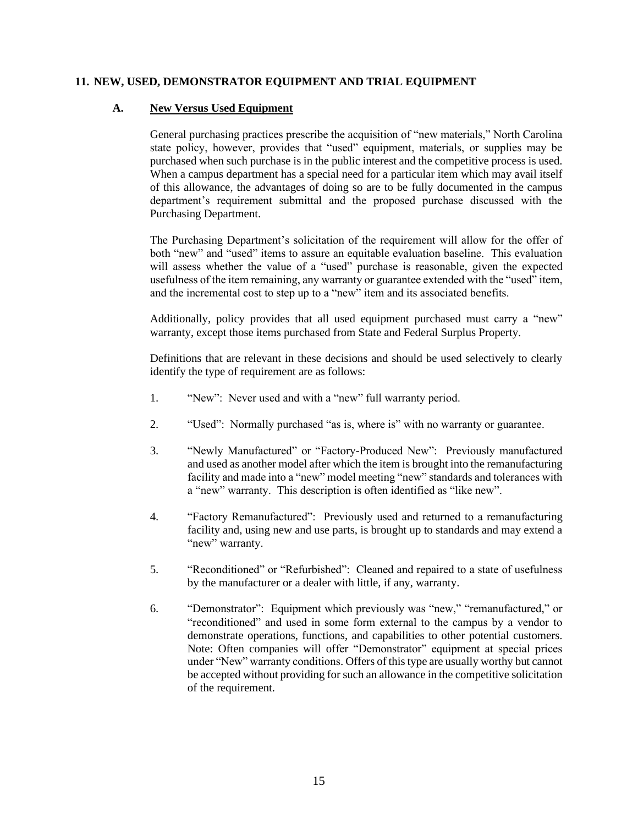#### **11. NEW, USED, DEMONSTRATOR EQUIPMENT AND TRIAL EQUIPMENT**

#### **A. New Versus Used Equipment**

General purchasing practices prescribe the acquisition of "new materials," North Carolina state policy, however, provides that "used" equipment, materials, or supplies may be purchased when such purchase is in the public interest and the competitive process is used. When a campus department has a special need for a particular item which may avail itself of this allowance, the advantages of doing so are to be fully documented in the campus department's requirement submittal and the proposed purchase discussed with the Purchasing Department.

The Purchasing Department's solicitation of the requirement will allow for the offer of both "new" and "used" items to assure an equitable evaluation baseline. This evaluation will assess whether the value of a "used" purchase is reasonable, given the expected usefulness of the item remaining, any warranty or guarantee extended with the "used" item, and the incremental cost to step up to a "new" item and its associated benefits.

Additionally, policy provides that all used equipment purchased must carry a "new" warranty, except those items purchased from State and Federal Surplus Property.

Definitions that are relevant in these decisions and should be used selectively to clearly identify the type of requirement are as follows:

- 1. "New": Never used and with a "new" full warranty period.
- 2. "Used": Normally purchased "as is, where is" with no warranty or guarantee.
- 3. "Newly Manufactured" or "Factory-Produced New": Previously manufactured and used as another model after which the item is brought into the remanufacturing facility and made into a "new" model meeting "new" standards and tolerances with a "new" warranty. This description is often identified as "like new".
- 4. "Factory Remanufactured": Previously used and returned to a remanufacturing facility and, using new and use parts, is brought up to standards and may extend a "new" warranty.
- 5. "Reconditioned" or "Refurbished": Cleaned and repaired to a state of usefulness by the manufacturer or a dealer with little, if any, warranty.
- 6. "Demonstrator": Equipment which previously was "new," "remanufactured," or "reconditioned" and used in some form external to the campus by a vendor to demonstrate operations, functions, and capabilities to other potential customers. Note: Often companies will offer "Demonstrator" equipment at special prices under "New" warranty conditions. Offers of this type are usually worthy but cannot be accepted without providing for such an allowance in the competitive solicitation of the requirement.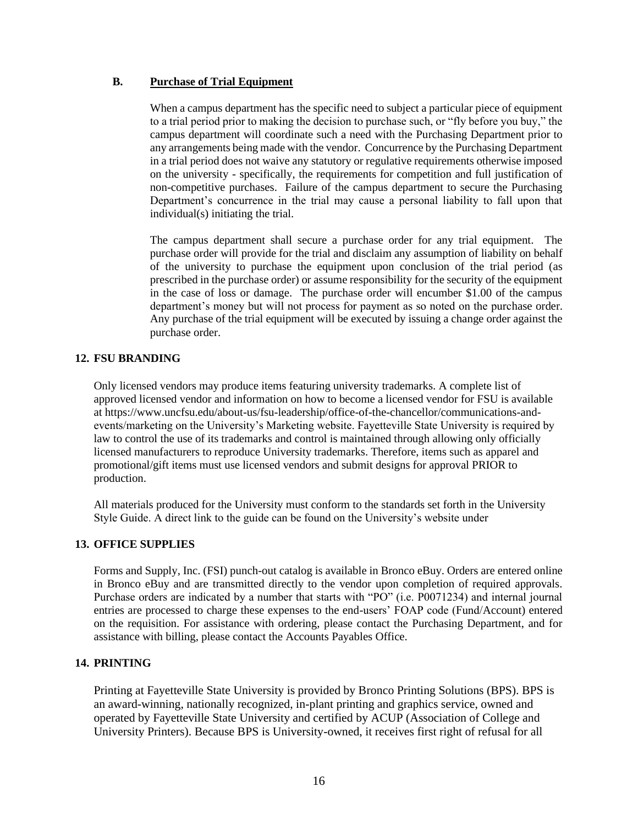#### **B. Purchase of Trial Equipment**

When a campus department has the specific need to subject a particular piece of equipment to a trial period prior to making the decision to purchase such, or "fly before you buy," the campus department will coordinate such a need with the Purchasing Department prior to any arrangements being made with the vendor. Concurrence by the Purchasing Department in a trial period does not waive any statutory or regulative requirements otherwise imposed on the university - specifically, the requirements for competition and full justification of non-competitive purchases. Failure of the campus department to secure the Purchasing Department's concurrence in the trial may cause a personal liability to fall upon that individual(s) initiating the trial.

The campus department shall secure a purchase order for any trial equipment. The purchase order will provide for the trial and disclaim any assumption of liability on behalf of the university to purchase the equipment upon conclusion of the trial period (as prescribed in the purchase order) or assume responsibility for the security of the equipment in the case of loss or damage. The purchase order will encumber \$1.00 of the campus department's money but will not process for payment as so noted on the purchase order. Any purchase of the trial equipment will be executed by issuing a change order against the purchase order.

#### **12. FSU BRANDING**

Only licensed vendors may produce items featuring university trademarks. A complete list of approved licensed vendor and information on how to become a licensed vendor for FSU is available at https://www.uncfsu.edu/about-us/fsu-leadership/office-of-the-chancellor/communications-andevents/marketing on the University's Marketing website. Fayetteville State University is required by law to control the use of its trademarks and control is maintained through allowing only officially licensed manufacturers to reproduce University trademarks. Therefore, items such as apparel and promotional/gift items must use licensed vendors and submit designs for approval PRIOR to production.

All materials produced for the University must conform to the standards set forth in the University Style Guide. A direct link to the guide can be found on the University's website under

### **13. OFFICE SUPPLIES**

Forms and Supply, Inc. (FSI) punch-out catalog is available in Bronco eBuy. Orders are entered online in Bronco eBuy and are transmitted directly to the vendor upon completion of required approvals. Purchase orders are indicated by a number that starts with "PO" (i.e. P0071234) and internal journal entries are processed to charge these expenses to the end-users' FOAP code (Fund/Account) entered on the requisition. For assistance with ordering, please contact the Purchasing Department, and for assistance with billing, please contact the Accounts Payables Office.

#### **14. PRINTING**

Printing at Fayetteville State University is provided by Bronco Printing Solutions (BPS). BPS is an award-winning, nationally recognized, in-plant printing and graphics service, owned and operated by Fayetteville State University and certified by ACUP (Association of College and University Printers). Because BPS is University-owned, it receives first right of refusal for all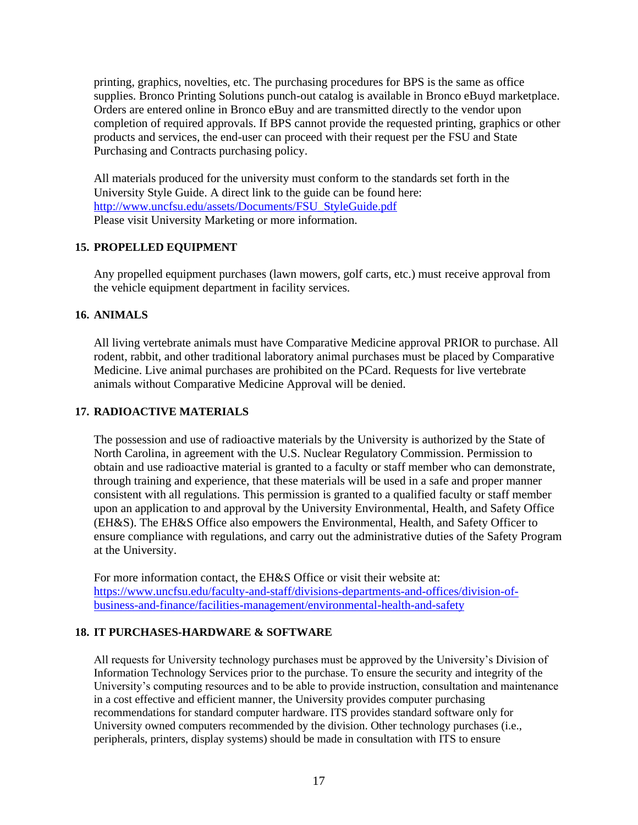printing, graphics, novelties, etc. The purchasing procedures for BPS is the same as office supplies. Bronco Printing Solutions punch-out catalog is available in Bronco eBuyd marketplace. Orders are entered online in Bronco eBuy and are transmitted directly to the vendor upon completion of required approvals. If BPS cannot provide the requested printing, graphics or other products and services, the end-user can proceed with their request per the FSU and State Purchasing and Contracts purchasing policy.

All materials produced for the university must conform to the standards set forth in the University Style Guide. A direct link to the guide can be found here: [http://www.uncfsu.edu/assets/Documents/FSU\\_StyleGuide.pdf](http://www.uncfsu.edu/assets/Documents/FSU_StyleGuide.pdf) Please visit University Marketing or more information.

### **15. PROPELLED EQUIPMENT**

Any propelled equipment purchases (lawn mowers, golf carts, etc.) must receive approval from the vehicle equipment department in facility services.

#### **16. ANIMALS**

All living vertebrate animals must have Comparative Medicine approval PRIOR to purchase. All rodent, rabbit, and other traditional laboratory animal purchases must be placed by Comparative Medicine. Live animal purchases are prohibited on the PCard. Requests for live vertebrate animals without Comparative Medicine Approval will be denied.

#### **17. RADIOACTIVE MATERIALS**

The possession and use of radioactive materials by the University is authorized by the State of North Carolina, in agreement with the U.S. Nuclear Regulatory Commission. Permission to obtain and use radioactive material is granted to a faculty or staff member who can demonstrate, through training and experience, that these materials will be used in a safe and proper manner consistent with all regulations. This permission is granted to a qualified faculty or staff member upon an application to and approval by the University Environmental, Health, and Safety Office (EH&S). The EH&S Office also empowers the Environmental, Health, and Safety Officer to ensure compliance with regulations, and carry out the administrative duties of the Safety Program at the University.

For more information contact, the EH&S Office or visit their website at: [https://www.uncfsu.edu/faculty-and-staff/divisions-departments-and-offices/division-of](https://www.uncfsu.edu/faculty-and-staff/divisions-departments-and-offices/division-of-business-and-finance/facilities-management/environmental-health-and-safety)[business-and-finance/facilities-management/environmental-health-and-safety](https://www.uncfsu.edu/faculty-and-staff/divisions-departments-and-offices/division-of-business-and-finance/facilities-management/environmental-health-and-safety)

#### **18. IT PURCHASES-HARDWARE & SOFTWARE**

All requests for University technology purchases must be approved by the University's Division of Information Technology Services prior to the purchase. To ensure the security and integrity of the University's computing resources and to be able to provide instruction, consultation and maintenance in a cost effective and efficient manner, the University provides computer purchasing recommendations for standard computer hardware. ITS provides standard software only for University owned computers recommended by the division. Other technology purchases (i.e., peripherals, printers, display systems) should be made in consultation with ITS to ensure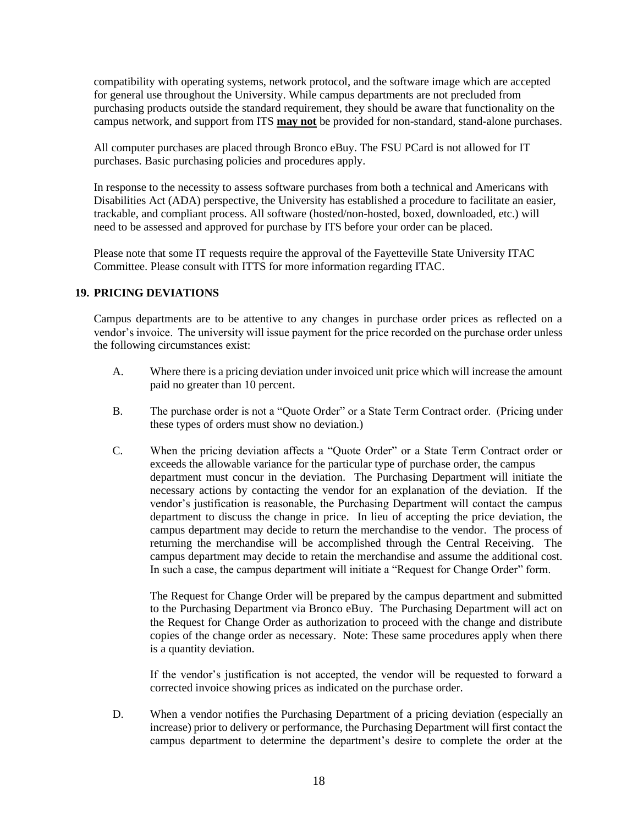compatibility with operating systems, network protocol, and the software image which are accepted for general use throughout the University. While campus departments are not precluded from purchasing products outside the standard requirement, they should be aware that functionality on the campus network, and support from ITS **may not** be provided for non-standard, stand-alone purchases.

All computer purchases are placed through Bronco eBuy. The FSU PCard is not allowed for IT purchases. Basic purchasing policies and procedures apply.

In response to the necessity to assess software purchases from both a technical and Americans with Disabilities Act (ADA) perspective, the University has established a procedure to facilitate an easier, trackable, and compliant process. All software (hosted/non-hosted, boxed, downloaded, etc.) will need to be assessed and approved for purchase by ITS before your order can be placed.

Please note that some IT requests require the approval of the Fayetteville State University ITAC Committee. Please consult with ITTS for more information regarding ITAC.

#### **19. PRICING DEVIATIONS**

Campus departments are to be attentive to any changes in purchase order prices as reflected on a vendor's invoice. The university will issue payment for the price recorded on the purchase order unless the following circumstances exist:

- A. Where there is a pricing deviation under invoiced unit price which will increase the amount paid no greater than 10 percent.
- B. The purchase order is not a "Quote Order" or a State Term Contract order. (Pricing under these types of orders must show no deviation.)
- C. When the pricing deviation affects a "Quote Order" or a State Term Contract order or exceeds the allowable variance for the particular type of purchase order, the campus department must concur in the deviation. The Purchasing Department will initiate the necessary actions by contacting the vendor for an explanation of the deviation. If the vendor's justification is reasonable, the Purchasing Department will contact the campus department to discuss the change in price. In lieu of accepting the price deviation, the campus department may decide to return the merchandise to the vendor. The process of returning the merchandise will be accomplished through the Central Receiving. The campus department may decide to retain the merchandise and assume the additional cost. In such a case, the campus department will initiate a "Request for Change Order" form.

The Request for Change Order will be prepared by the campus department and submitted to the Purchasing Department via Bronco eBuy. The Purchasing Department will act on the Request for Change Order as authorization to proceed with the change and distribute copies of the change order as necessary. Note: These same procedures apply when there is a quantity deviation.

If the vendor's justification is not accepted, the vendor will be requested to forward a corrected invoice showing prices as indicated on the purchase order.

D. When a vendor notifies the Purchasing Department of a pricing deviation (especially an increase) prior to delivery or performance, the Purchasing Department will first contact the campus department to determine the department's desire to complete the order at the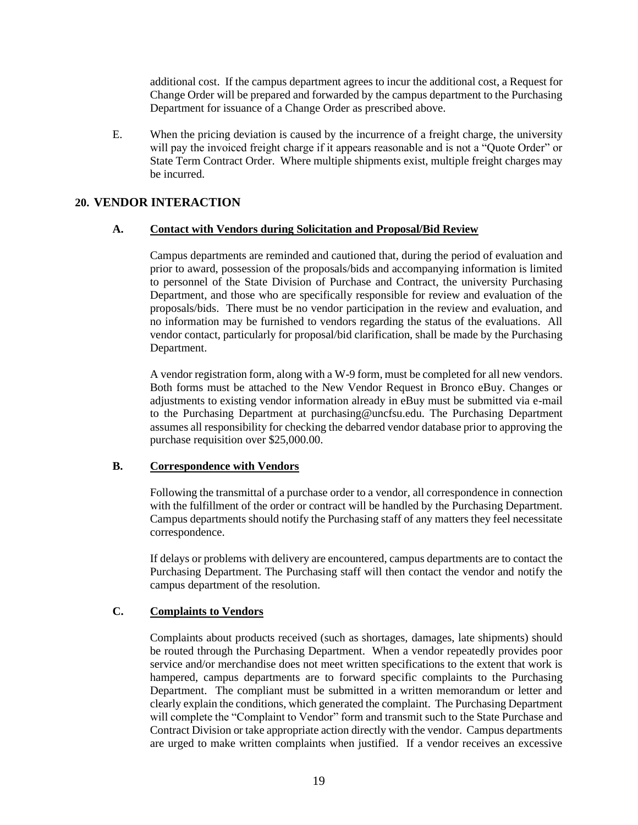additional cost. If the campus department agrees to incur the additional cost, a Request for Change Order will be prepared and forwarded by the campus department to the Purchasing Department for issuance of a Change Order as prescribed above.

E. When the pricing deviation is caused by the incurrence of a freight charge, the university will pay the invoiced freight charge if it appears reasonable and is not a "Quote Order" or State Term Contract Order. Where multiple shipments exist, multiple freight charges may be incurred.

#### **20. VENDOR INTERACTION**

#### **A. Contact with Vendors during Solicitation and Proposal/Bid Review**

Campus departments are reminded and cautioned that, during the period of evaluation and prior to award, possession of the proposals/bids and accompanying information is limited to personnel of the State Division of Purchase and Contract, the university Purchasing Department, and those who are specifically responsible for review and evaluation of the proposals/bids. There must be no vendor participation in the review and evaluation, and no information may be furnished to vendors regarding the status of the evaluations. All vendor contact, particularly for proposal/bid clarification, shall be made by the Purchasing Department.

A vendor registration form, along with a W-9 form, must be completed for all new vendors. Both forms must be attached to the New Vendor Request in Bronco eBuy. Changes or adjustments to existing vendor information already in eBuy must be submitted via e-mail to the Purchasing Department at purchasing@uncfsu.edu. The Purchasing Department assumes all responsibility for checking the debarred vendor database prior to approving the purchase requisition over \$25,000.00.

#### **B. Correspondence with Vendors**

Following the transmittal of a purchase order to a vendor, all correspondence in connection with the fulfillment of the order or contract will be handled by the Purchasing Department. Campus departments should notify the Purchasing staff of any matters they feel necessitate correspondence.

If delays or problems with delivery are encountered, campus departments are to contact the Purchasing Department. The Purchasing staff will then contact the vendor and notify the campus department of the resolution.

#### **C. Complaints to Vendors**

Complaints about products received (such as shortages, damages, late shipments) should be routed through the Purchasing Department. When a vendor repeatedly provides poor service and/or merchandise does not meet written specifications to the extent that work is hampered, campus departments are to forward specific complaints to the Purchasing Department. The compliant must be submitted in a written memorandum or letter and clearly explain the conditions, which generated the complaint. The Purchasing Department will complete the "Complaint to Vendor" form and transmit such to the State Purchase and Contract Division or take appropriate action directly with the vendor. Campus departments are urged to make written complaints when justified. If a vendor receives an excessive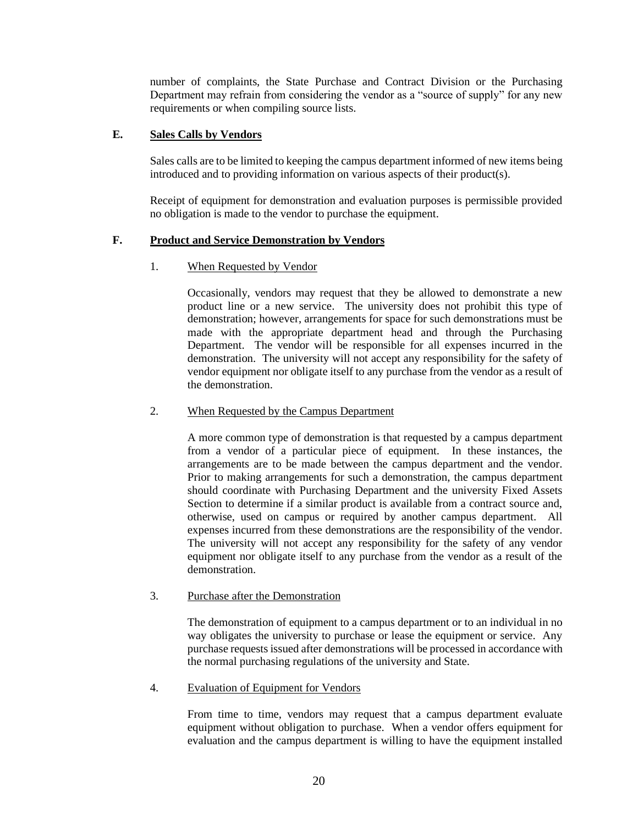number of complaints, the State Purchase and Contract Division or the Purchasing Department may refrain from considering the vendor as a "source of supply" for any new requirements or when compiling source lists.

#### **E. Sales Calls by Vendors**

Sales calls are to be limited to keeping the campus department informed of new items being introduced and to providing information on various aspects of their product(s).

Receipt of equipment for demonstration and evaluation purposes is permissible provided no obligation is made to the vendor to purchase the equipment.

#### **F. Product and Service Demonstration by Vendors**

#### 1. When Requested by Vendor

Occasionally, vendors may request that they be allowed to demonstrate a new product line or a new service. The university does not prohibit this type of demonstration; however, arrangements for space for such demonstrations must be made with the appropriate department head and through the Purchasing Department. The vendor will be responsible for all expenses incurred in the demonstration. The university will not accept any responsibility for the safety of vendor equipment nor obligate itself to any purchase from the vendor as a result of the demonstration.

#### 2. When Requested by the Campus Department

A more common type of demonstration is that requested by a campus department from a vendor of a particular piece of equipment. In these instances, the arrangements are to be made between the campus department and the vendor. Prior to making arrangements for such a demonstration, the campus department should coordinate with Purchasing Department and the university Fixed Assets Section to determine if a similar product is available from a contract source and, otherwise, used on campus or required by another campus department. All expenses incurred from these demonstrations are the responsibility of the vendor. The university will not accept any responsibility for the safety of any vendor equipment nor obligate itself to any purchase from the vendor as a result of the demonstration.

#### 3. Purchase after the Demonstration

The demonstration of equipment to a campus department or to an individual in no way obligates the university to purchase or lease the equipment or service. Any purchase requests issued after demonstrations will be processed in accordance with the normal purchasing regulations of the university and State.

#### 4. Evaluation of Equipment for Vendors

From time to time, vendors may request that a campus department evaluate equipment without obligation to purchase. When a vendor offers equipment for evaluation and the campus department is willing to have the equipment installed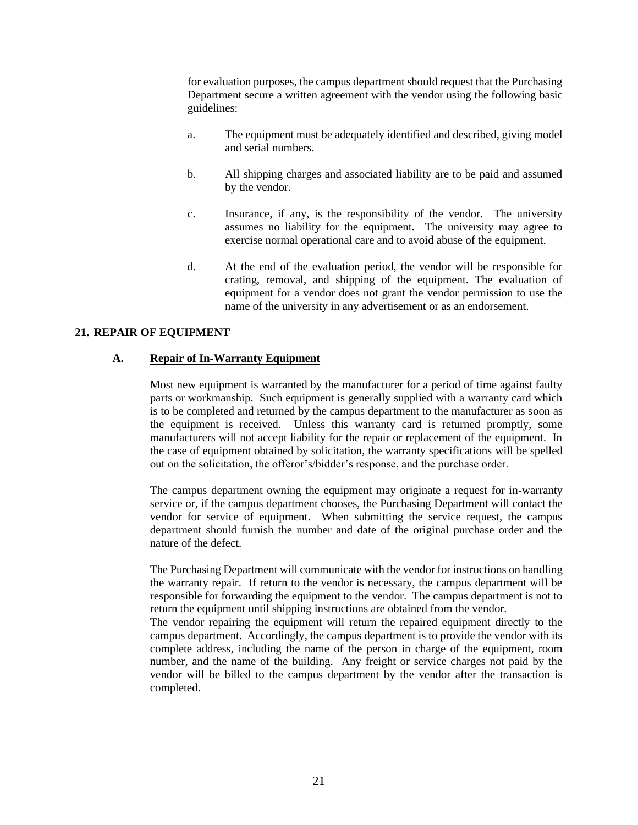for evaluation purposes, the campus department should request that the Purchasing Department secure a written agreement with the vendor using the following basic guidelines:

- a. The equipment must be adequately identified and described, giving model and serial numbers.
- b. All shipping charges and associated liability are to be paid and assumed by the vendor.
- c. Insurance, if any, is the responsibility of the vendor. The university assumes no liability for the equipment. The university may agree to exercise normal operational care and to avoid abuse of the equipment.
- d. At the end of the evaluation period, the vendor will be responsible for crating, removal, and shipping of the equipment. The evaluation of equipment for a vendor does not grant the vendor permission to use the name of the university in any advertisement or as an endorsement.

#### **21. REPAIR OF EQUIPMENT**

#### **A. Repair of In-Warranty Equipment**

Most new equipment is warranted by the manufacturer for a period of time against faulty parts or workmanship. Such equipment is generally supplied with a warranty card which is to be completed and returned by the campus department to the manufacturer as soon as the equipment is received. Unless this warranty card is returned promptly, some manufacturers will not accept liability for the repair or replacement of the equipment. In the case of equipment obtained by solicitation, the warranty specifications will be spelled out on the solicitation, the offeror's/bidder's response, and the purchase order.

The campus department owning the equipment may originate a request for in-warranty service or, if the campus department chooses, the Purchasing Department will contact the vendor for service of equipment. When submitting the service request, the campus department should furnish the number and date of the original purchase order and the nature of the defect.

The Purchasing Department will communicate with the vendor for instructions on handling the warranty repair. If return to the vendor is necessary, the campus department will be responsible for forwarding the equipment to the vendor. The campus department is not to return the equipment until shipping instructions are obtained from the vendor.

The vendor repairing the equipment will return the repaired equipment directly to the campus department. Accordingly, the campus department is to provide the vendor with its complete address, including the name of the person in charge of the equipment, room number, and the name of the building. Any freight or service charges not paid by the vendor will be billed to the campus department by the vendor after the transaction is completed.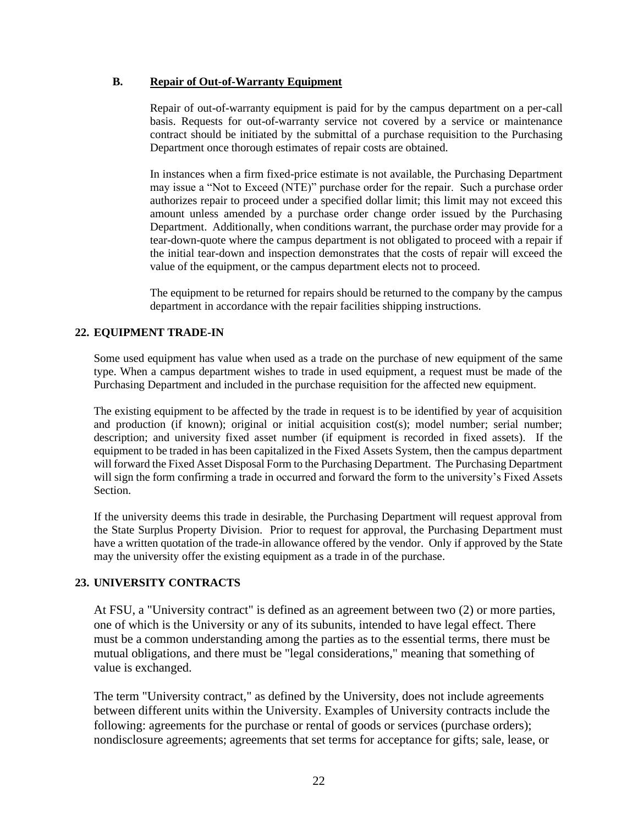#### **B. Repair of Out-of-Warranty Equipment**

Repair of out-of-warranty equipment is paid for by the campus department on a per-call basis. Requests for out-of-warranty service not covered by a service or maintenance contract should be initiated by the submittal of a purchase requisition to the Purchasing Department once thorough estimates of repair costs are obtained.

In instances when a firm fixed-price estimate is not available, the Purchasing Department may issue a "Not to Exceed (NTE)" purchase order for the repair. Such a purchase order authorizes repair to proceed under a specified dollar limit; this limit may not exceed this amount unless amended by a purchase order change order issued by the Purchasing Department. Additionally, when conditions warrant, the purchase order may provide for a tear-down-quote where the campus department is not obligated to proceed with a repair if the initial tear-down and inspection demonstrates that the costs of repair will exceed the value of the equipment, or the campus department elects not to proceed.

The equipment to be returned for repairs should be returned to the company by the campus department in accordance with the repair facilities shipping instructions.

#### **22. EQUIPMENT TRADE-IN**

Some used equipment has value when used as a trade on the purchase of new equipment of the same type. When a campus department wishes to trade in used equipment, a request must be made of the Purchasing Department and included in the purchase requisition for the affected new equipment.

The existing equipment to be affected by the trade in request is to be identified by year of acquisition and production (if known); original or initial acquisition cost(s); model number; serial number; description; and university fixed asset number (if equipment is recorded in fixed assets). If the equipment to be traded in has been capitalized in the Fixed Assets System, then the campus department will forward the Fixed Asset Disposal Form to the Purchasing Department. The Purchasing Department will sign the form confirming a trade in occurred and forward the form to the university's Fixed Assets Section.

If the university deems this trade in desirable, the Purchasing Department will request approval from the State Surplus Property Division. Prior to request for approval, the Purchasing Department must have a written quotation of the trade-in allowance offered by the vendor. Only if approved by the State may the university offer the existing equipment as a trade in of the purchase.

#### **23. UNIVERSITY CONTRACTS**

At FSU, a "University contract" is defined as an agreement between two (2) or more parties, one of which is the University or any of its subunits, intended to have legal effect. There must be a common understanding among the parties as to the essential terms, there must be mutual obligations, and there must be "legal considerations," meaning that something of value is exchanged.

The term "University contract," as defined by the University, does not include agreements between different units within the University. Examples of University contracts include the following: agreements for the purchase or rental of goods or services (purchase orders); nondisclosure agreements; agreements that set terms for acceptance for gifts; sale, lease, or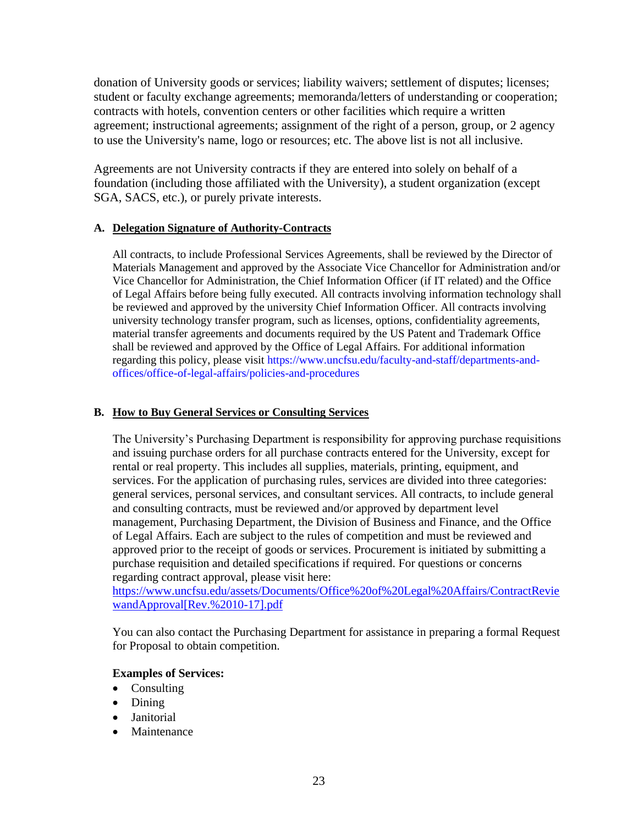donation of University goods or services; liability waivers; settlement of disputes; licenses; student or faculty exchange agreements; memoranda/letters of understanding or cooperation; contracts with hotels, convention centers or other facilities which require a written agreement; instructional agreements; assignment of the right of a person, group, or 2 agency to use the University's name, logo or resources; etc. The above list is not all inclusive.

Agreements are not University contracts if they are entered into solely on behalf of a foundation (including those affiliated with the University), a student organization (except SGA, SACS, etc.), or purely private interests.

### **A. Delegation Signature of Authority-Contracts**

All contracts, to include Professional Services Agreements, shall be reviewed by the Director of Materials Management and approved by the Associate Vice Chancellor for Administration and/or Vice Chancellor for Administration, the Chief Information Officer (if IT related) and the Office of Legal Affairs before being fully executed. All contracts involving information technology shall be reviewed and approved by the university Chief Information Officer. All contracts involving university technology transfer program, such as licenses, options, confidentiality agreements, material transfer agreements and documents required by the US Patent and Trademark Office shall be reviewed and approved by the Office of Legal Affairs. For additional information regarding this policy, please visit [https://www.uncfsu.edu/faculty-and-staff/departments-and](https://www.uncfsu.edu/faculty-and-staff/departments-and-offices/office-of-legal-affairs/policies-and-procedures)[offices/office-of-legal-affairs/policies-and-procedures](https://www.uncfsu.edu/faculty-and-staff/departments-and-offices/office-of-legal-affairs/policies-and-procedures)

### **B. How to Buy General Services or Consulting Services**

The University's Purchasing Department is responsibility for approving purchase requisitions and issuing purchase orders for all purchase contracts entered for the University, except for rental or real property. This includes all supplies, materials, printing, equipment, and services. For the application of purchasing rules, services are divided into three categories: general services, personal services, and consultant services. All contracts, to include general and consulting contracts, must be reviewed and/or approved by department level management, Purchasing Department, the Division of Business and Finance, and the Office of Legal Affairs. Each are subject to the rules of competition and must be reviewed and approved prior to the receipt of goods or services. Procurement is initiated by submitting a purchase requisition and detailed specifications if required. For questions or concerns regarding contract approval, please visit here:

[https://www.uncfsu.edu/assets/Documents/Office%20of%20Legal%20Affairs/ContractRevie](https://www.uncfsu.edu/assets/Documents/Office%20of%20Legal%20Affairs/ContractReviewandApproval%5bRev.%2010-17%5d.pdf) [wandApproval\[Rev.%2010-17\].pdf](https://www.uncfsu.edu/assets/Documents/Office%20of%20Legal%20Affairs/ContractReviewandApproval%5bRev.%2010-17%5d.pdf)

You can also contact the Purchasing Department for assistance in preparing a formal Request for Proposal to obtain competition.

### **Examples of Services:**

- Consulting
- Dining
- Janitorial
- **Maintenance**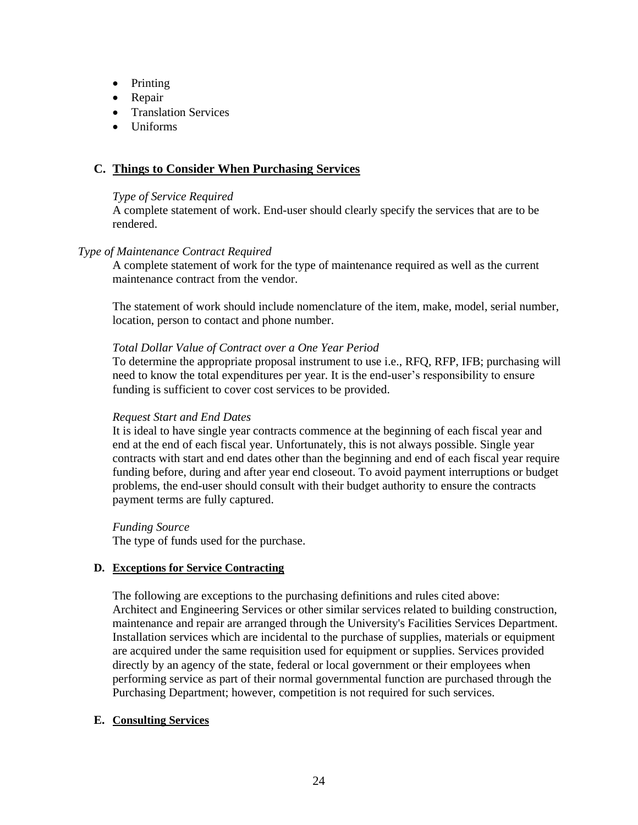- Printing
- Repair
- Translation Services
- Uniforms

### **C. Things to Consider When Purchasing Services**

#### *Type of Service Required*

A complete statement of work. End-user should clearly specify the services that are to be rendered.

#### *Type of Maintenance Contract Required*

A complete statement of work for the type of maintenance required as well as the current maintenance contract from the vendor.

The statement of work should include nomenclature of the item, make, model, serial number, location, person to contact and phone number.

#### *Total Dollar Value of Contract over a One Year Period*

To determine the appropriate proposal instrument to use i.e., RFQ, RFP, IFB; purchasing will need to know the total expenditures per year. It is the end-user's responsibility to ensure funding is sufficient to cover cost services to be provided.

#### *Request Start and End Dates*

It is ideal to have single year contracts commence at the beginning of each fiscal year and end at the end of each fiscal year. Unfortunately, this is not always possible. Single year contracts with start and end dates other than the beginning and end of each fiscal year require funding before, during and after year end closeout. To avoid payment interruptions or budget problems, the end-user should consult with their budget authority to ensure the contracts payment terms are fully captured.

*Funding Source*  The type of funds used for the purchase.

#### **D. Exceptions for Service Contracting**

The following are exceptions to the purchasing definitions and rules cited above: Architect and Engineering Services or other similar services related to building construction, maintenance and repair are arranged through the University's Facilities Services Department. Installation services which are incidental to the purchase of supplies, materials or equipment are acquired under the same requisition used for equipment or supplies. Services provided directly by an agency of the state, federal or local government or their employees when performing service as part of their normal governmental function are purchased through the Purchasing Department; however, competition is not required for such services.

#### **E. Consulting Services**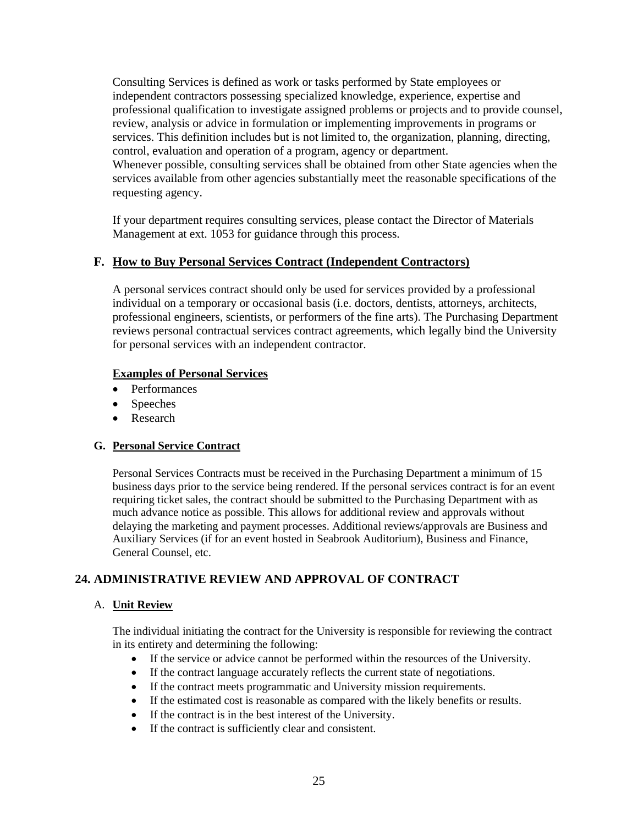Consulting Services is defined as work or tasks performed by State employees or independent contractors possessing specialized knowledge, experience, expertise and professional qualification to investigate assigned problems or projects and to provide counsel, review, analysis or advice in formulation or implementing improvements in programs or services. This definition includes but is not limited to, the organization, planning, directing, control, evaluation and operation of a program, agency or department. Whenever possible, consulting services shall be obtained from other State agencies when the services available from other agencies substantially meet the reasonable specifications of the requesting agency.

If your department requires consulting services, please contact the Director of Materials Management at ext. 1053 for guidance through this process.

### **F. How to Buy Personal Services Contract (Independent Contractors)**

A personal services contract should only be used for services provided by a professional individual on a temporary or occasional basis (i.e. doctors, dentists, attorneys, architects, professional engineers, scientists, or performers of the fine arts). The Purchasing Department reviews personal contractual services contract agreements, which legally bind the University for personal services with an independent contractor.

#### **Examples of Personal Services**

- Performances
- Speeches
- Research

### **G. Personal Service Contract**

Personal Services Contracts must be received in the Purchasing Department a minimum of 15 business days prior to the service being rendered. If the personal services contract is for an event requiring ticket sales, the contract should be submitted to the Purchasing Department with as much advance notice as possible. This allows for additional review and approvals without delaying the marketing and payment processes. Additional reviews/approvals are Business and Auxiliary Services (if for an event hosted in Seabrook Auditorium), Business and Finance, General Counsel, etc.

### **24. ADMINISTRATIVE REVIEW AND APPROVAL OF CONTRACT**

### A. **Unit Review**

The individual initiating the contract for the University is responsible for reviewing the contract in its entirety and determining the following:

- If the service or advice cannot be performed within the resources of the University.
- If the contract language accurately reflects the current state of negotiations.
- If the contract meets programmatic and University mission requirements.
- If the estimated cost is reasonable as compared with the likely benefits or results.
- If the contract is in the best interest of the University.
- If the contract is sufficiently clear and consistent.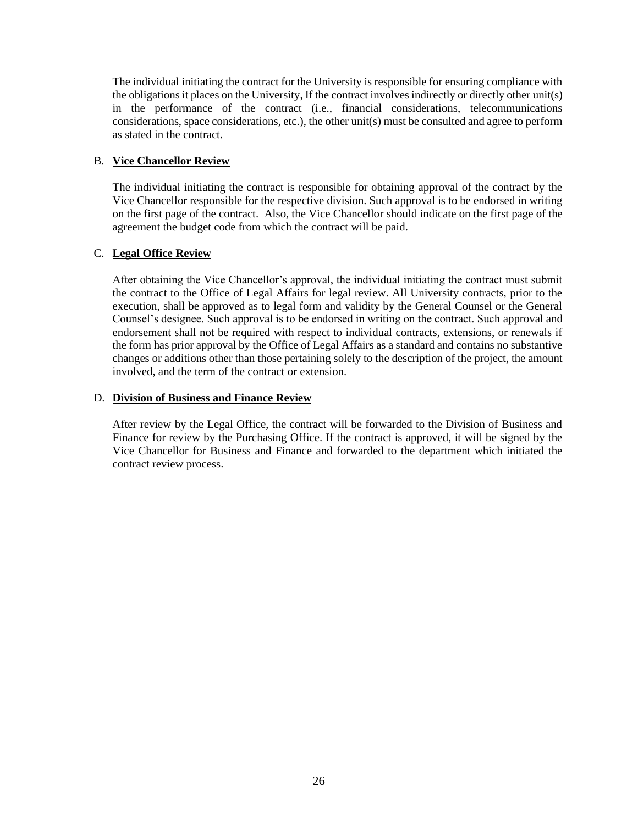The individual initiating the contract for the University is responsible for ensuring compliance with the obligations it places on the University, If the contract involves indirectly or directly other unit(s) in the performance of the contract (i.e., financial considerations, telecommunications considerations, space considerations, etc.), the other unit(s) must be consulted and agree to perform as stated in the contract.

### B. **Vice Chancellor Review**

The individual initiating the contract is responsible for obtaining approval of the contract by the Vice Chancellor responsible for the respective division. Such approval is to be endorsed in writing on the first page of the contract. Also, the Vice Chancellor should indicate on the first page of the agreement the budget code from which the contract will be paid.

#### C. **Legal Office Review**

After obtaining the Vice Chancellor's approval, the individual initiating the contract must submit the contract to the Office of Legal Affairs for legal review. All University contracts, prior to the execution, shall be approved as to legal form and validity by the General Counsel or the General Counsel's designee. Such approval is to be endorsed in writing on the contract. Such approval and endorsement shall not be required with respect to individual contracts, extensions, or renewals if the form has prior approval by the Office of Legal Affairs as a standard and contains no substantive changes or additions other than those pertaining solely to the description of the project, the amount involved, and the term of the contract or extension.

#### D. **Division of Business and Finance Review**

After review by the Legal Office, the contract will be forwarded to the Division of Business and Finance for review by the Purchasing Office. If the contract is approved, it will be signed by the Vice Chancellor for Business and Finance and forwarded to the department which initiated the contract review process.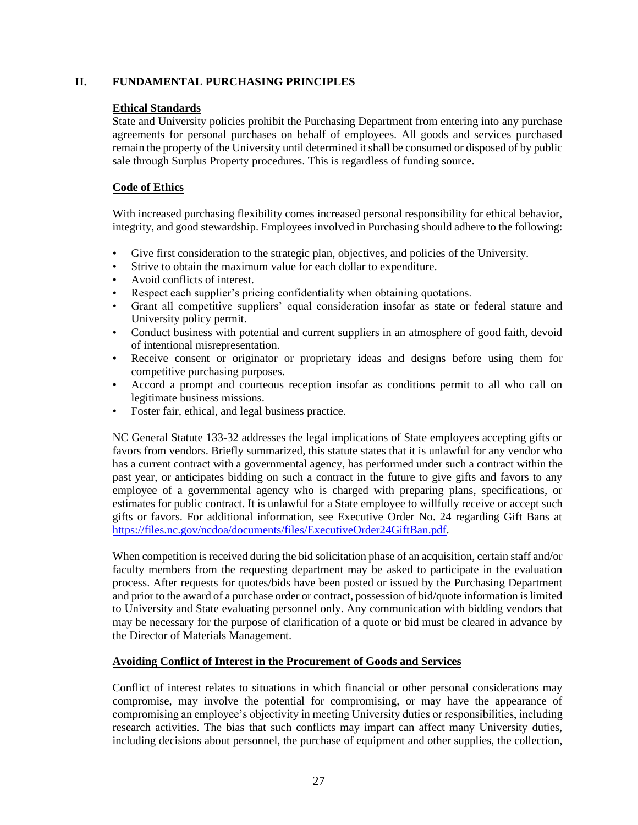### <span id="page-26-0"></span>**II. FUNDAMENTAL PURCHASING PRINCIPLES**

#### **Ethical Standards**

State and University policies prohibit the Purchasing Department from entering into any purchase agreements for personal purchases on behalf of employees. All goods and services purchased remain the property of the University until determined it shall be consumed or disposed of by public sale through Surplus Property procedures. This is regardless of funding source.

### **Code of Ethics**

With increased purchasing flexibility comes increased personal responsibility for ethical behavior, integrity, and good stewardship. Employees involved in Purchasing should adhere to the following:

- Give first consideration to the strategic plan, objectives, and policies of the University.
- Strive to obtain the maximum value for each dollar to expenditure.
- Avoid conflicts of interest.
- Respect each supplier's pricing confidentiality when obtaining quotations.
- Grant all competitive suppliers' equal consideration insofar as state or federal stature and University policy permit.
- Conduct business with potential and current suppliers in an atmosphere of good faith, devoid of intentional misrepresentation.
- Receive consent or originator or proprietary ideas and designs before using them for competitive purchasing purposes.
- Accord a prompt and courteous reception insofar as conditions permit to all who call on legitimate business missions.
- Foster fair, ethical, and legal business practice.

NC General Statute 133-32 addresses the legal implications of State employees accepting gifts or favors from vendors. Briefly summarized, this statute states that it is unlawful for any vendor who has a current contract with a governmental agency, has performed under such a contract within the past year, or anticipates bidding on such a contract in the future to give gifts and favors to any employee of a governmental agency who is charged with preparing plans, specifications, or estimates for public contract. It is unlawful for a State employee to willfully receive or accept such gifts or favors. For additional information, see Executive Order No. 24 regarding Gift Bans at [https://files.nc.gov/ncdoa/documents/files/ExecutiveOrder24GiftBan.pdf.](https://files.nc.gov/ncdoa/documents/files/ExecutiveOrder24GiftBan.pdf)

When competition is received during the bid solicitation phase of an acquisition, certain staff and/or faculty members from the requesting department may be asked to participate in the evaluation process. After requests for quotes/bids have been posted or issued by the Purchasing Department and prior to the award of a purchase order or contract, possession of bid/quote information is limited to University and State evaluating personnel only. Any communication with bidding vendors that may be necessary for the purpose of clarification of a quote or bid must be cleared in advance by the Director of Materials Management.

#### **Avoiding Conflict of Interest in the Procurement of Goods and Services**

Conflict of interest relates to situations in which financial or other personal considerations may compromise, may involve the potential for compromising, or may have the appearance of compromising an employee's objectivity in meeting University duties or responsibilities, including research activities. The bias that such conflicts may impart can affect many University duties, including decisions about personnel, the purchase of equipment and other supplies, the collection,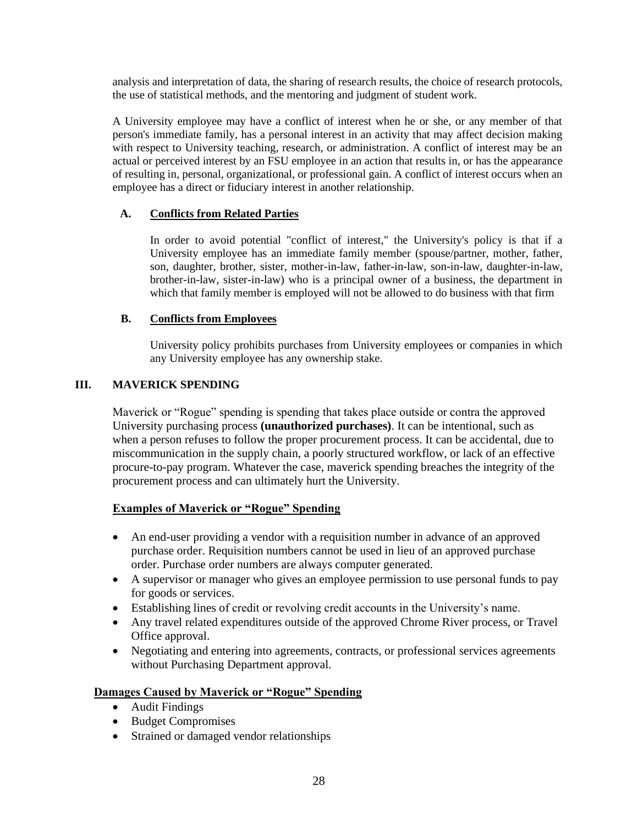analysis and interpretation of data, the sharing of research results, the choice of research protocols, the use of statistical methods, and the mentoring and judgment of student work.

A University employee may have a conflict of interest when he or she, or any member of that person's immediate family, has a personal interest in an activity that may affect decision making with respect to University teaching, research, or administration. A conflict of interest may be an actual or perceived interest by an FSU employee in an action that results in, or has the appearance of resulting in, personal, organizational, or professional gain. A conflict of interest occurs when an employee has a direct or fiduciary interest in another relationship.

### **A. Conflicts from Related Parties**

In order to avoid potential "conflict of interest," the University's policy is that if a University employee has an immediate family member (spouse/partner, mother, father, son, daughter, brother, sister, mother-in-law, father-in-law, son-in-law, daughter-in-law, brother-in-law, sister-in-law) who is a principal owner of a business, the department in which that family member is employed will not be allowed to do business with that firm

#### **B. Conflicts from Employees**

University policy prohibits purchases from University employees or companies in which any University employee has any ownership stake.

#### <span id="page-27-0"></span>**III. MAVERICK SPENDING**

Maverick or "Rogue" spending is spending that takes place outside or contra the approved University purchasing process **(unauthorized purchases)**. It can be intentional, such as when a person refuses to follow the proper procurement process. It can be accidental, due to miscommunication in the supply chain, a poorly structured workflow, or lack of an effective procure-to-pay program. Whatever the case, maverick spending breaches the integrity of the procurement process and can ultimately hurt the University.

### **Examples of Maverick or "Rogue" Spending**

- An end-user providing a vendor with a requisition number in advance of an approved purchase order. Requisition numbers cannot be used in lieu of an approved purchase order. Purchase order numbers are always computer generated.
- A supervisor or manager who gives an employee permission to use personal funds to pay for goods or services.
- Establishing lines of credit or revolving credit accounts in the University's name.
- Any travel related expenditures outside of the approved Chrome River process, or Travel Office approval.
- Negotiating and entering into agreements, contracts, or professional services agreements without Purchasing Department approval.

#### **Damages Caused by Maverick or "Rogue" Spending**

- Audit Findings
- Budget Compromises
- Strained or damaged vendor relationships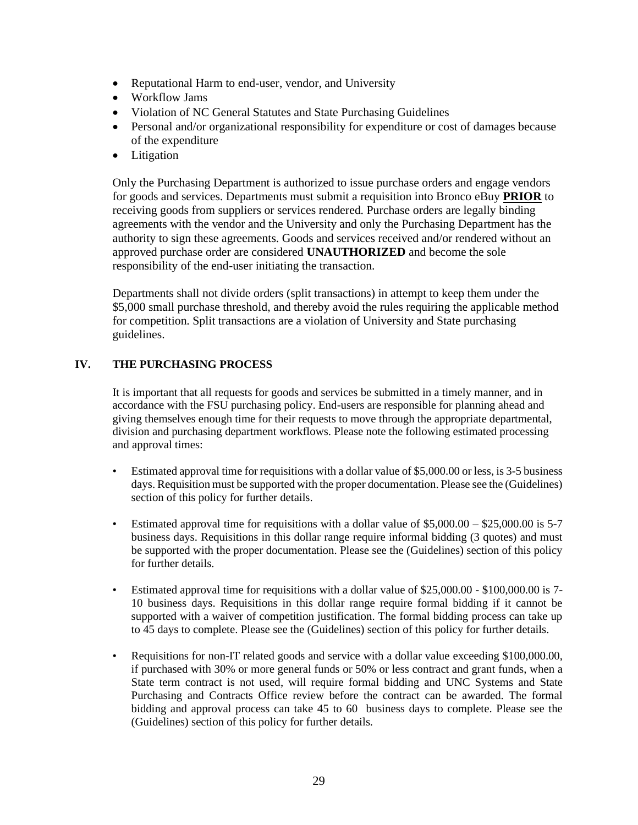- Reputational Harm to end-user, vendor, and University
- Workflow Jams
- Violation of NC General Statutes and State Purchasing Guidelines
- Personal and/or organizational responsibility for expenditure or cost of damages because of the expenditure
- Litigation

Only the Purchasing Department is authorized to issue purchase orders and engage vendors for goods and services. Departments must submit a requisition into Bronco eBuy **PRIOR** to receiving goods from suppliers or services rendered. Purchase orders are legally binding agreements with the vendor and the University and only the Purchasing Department has the authority to sign these agreements. Goods and services received and/or rendered without an approved purchase order are considered **UNAUTHORIZED** and become the sole responsibility of the end-user initiating the transaction.

Departments shall not divide orders (split transactions) in attempt to keep them under the \$5,000 small purchase threshold, and thereby avoid the rules requiring the applicable method for competition. Split transactions are a violation of University and State purchasing guidelines.

### <span id="page-28-0"></span>**IV. THE PURCHASING PROCESS**

It is important that all requests for goods and services be submitted in a timely manner, and in accordance with the FSU purchasing policy. End-users are responsible for planning ahead and giving themselves enough time for their requests to move through the appropriate departmental, division and purchasing department workflows. Please note the following estimated processing and approval times:

- Estimated approval time for requisitions with a dollar value of \$5,000.00 or less, is 3-5 business days. Requisition must be supported with the proper documentation. Please see the (Guidelines) section of this policy for further details.
- Estimated approval time for requisitions with a dollar value of  $$5,000.00 $25,000.00$  is 5-7 business days. Requisitions in this dollar range require informal bidding (3 quotes) and must be supported with the proper documentation. Please see the (Guidelines) section of this policy for further details.
- Estimated approval time for requisitions with a dollar value of \$25,000.00 \$100,000.00 is 7- 10 business days. Requisitions in this dollar range require formal bidding if it cannot be supported with a waiver of competition justification. The formal bidding process can take up to 45 days to complete. Please see the (Guidelines) section of this policy for further details.
- Requisitions for non-IT related goods and service with a dollar value exceeding \$100,000.00, if purchased with 30% or more general funds or 50% or less contract and grant funds, when a State term contract is not used, will require formal bidding and UNC Systems and State Purchasing and Contracts Office review before the contract can be awarded. The formal bidding and approval process can take 45 to 60 business days to complete. Please see the (Guidelines) section of this policy for further details.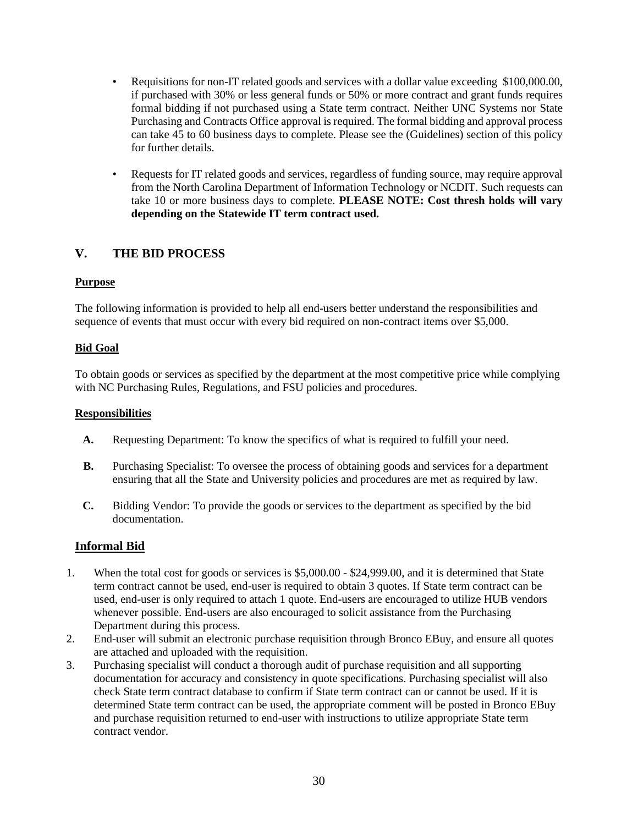- Requisitions for non-IT related goods and services with a dollar value exceeding \$100,000.00, if purchased with 30% or less general funds or 50% or more contract and grant funds requires formal bidding if not purchased using a State term contract. Neither UNC Systems nor State Purchasing and Contracts Office approval is required. The formal bidding and approval process can take 45 to 60 business days to complete. Please see the (Guidelines) section of this policy for further details.
- Requests for IT related goods and services, regardless of funding source, may require approval from the North Carolina Department of Information Technology or NCDIT. Such requests can take 10 or more business days to complete. **PLEASE NOTE: Cost thresh holds will vary depending on the Statewide IT term contract used.**

### <span id="page-29-0"></span>**V. THE BID PROCESS**

#### **Purpose**

The following information is provided to help all end-users better understand the responsibilities and sequence of events that must occur with every bid required on non-contract items over \$5,000.

#### **Bid Goal**

To obtain goods or services as specified by the department at the most competitive price while complying with NC Purchasing Rules, Regulations, and FSU policies and procedures.

#### **Responsibilities**

- **A.** Requesting Department: To know the specifics of what is required to fulfill your need.
- **B.** Purchasing Specialist: To oversee the process of obtaining goods and services for a department ensuring that all the State and University policies and procedures are met as required by law.
- **C.** Bidding Vendor: To provide the goods or services to the department as specified by the bid documentation.

### **Informal Bid**

- 1. When the total cost for goods or services is \$5,000.00 \$24,999.00, and it is determined that State term contract cannot be used, end-user is required to obtain 3 quotes. If State term contract can be used, end-user is only required to attach 1 quote. End-users are encouraged to utilize HUB vendors whenever possible. End-users are also encouraged to solicit assistance from the Purchasing Department during this process.
- 2. End-user will submit an electronic purchase requisition through Bronco EBuy, and ensure all quotes are attached and uploaded with the requisition.
- 3. Purchasing specialist will conduct a thorough audit of purchase requisition and all supporting documentation for accuracy and consistency in quote specifications. Purchasing specialist will also check State term contract database to confirm if State term contract can or cannot be used. If it is determined State term contract can be used, the appropriate comment will be posted in Bronco EBuy and purchase requisition returned to end-user with instructions to utilize appropriate State term contract vendor.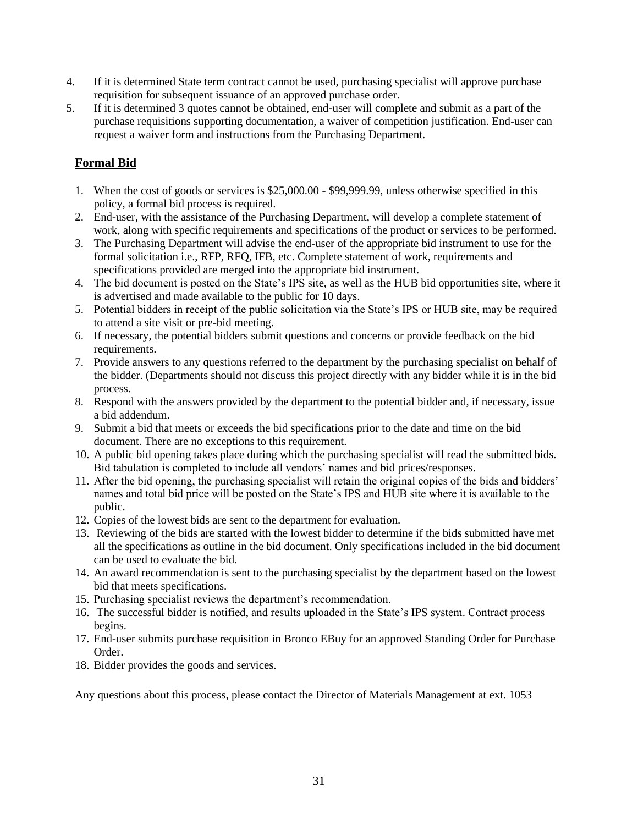- 4. If it is determined State term contract cannot be used, purchasing specialist will approve purchase requisition for subsequent issuance of an approved purchase order.
- 5. If it is determined 3 quotes cannot be obtained, end-user will complete and submit as a part of the purchase requisitions supporting documentation, a waiver of competition justification. End-user can request a waiver form and instructions from the Purchasing Department.

# **Formal Bid**

- 1. When the cost of goods or services is \$25,000.00 \$99,999.99, unless otherwise specified in this policy, a formal bid process is required.
- 2. End-user, with the assistance of the Purchasing Department, will develop a complete statement of work, along with specific requirements and specifications of the product or services to be performed.
- 3. The Purchasing Department will advise the end-user of the appropriate bid instrument to use for the formal solicitation i.e., RFP, RFQ, IFB, etc. Complete statement of work, requirements and specifications provided are merged into the appropriate bid instrument.
- 4. The bid document is posted on the State's IPS site, as well as the HUB bid opportunities site, where it is advertised and made available to the public for 10 days.
- 5. Potential bidders in receipt of the public solicitation via the State's IPS or HUB site, may be required to attend a site visit or pre-bid meeting.
- 6. If necessary, the potential bidders submit questions and concerns or provide feedback on the bid requirements.
- 7. Provide answers to any questions referred to the department by the purchasing specialist on behalf of the bidder. (Departments should not discuss this project directly with any bidder while it is in the bid process.
- 8. Respond with the answers provided by the department to the potential bidder and, if necessary, issue a bid addendum.
- 9. Submit a bid that meets or exceeds the bid specifications prior to the date and time on the bid document. There are no exceptions to this requirement.
- 10. A public bid opening takes place during which the purchasing specialist will read the submitted bids. Bid tabulation is completed to include all vendors' names and bid prices/responses.
- 11. After the bid opening, the purchasing specialist will retain the original copies of the bids and bidders' names and total bid price will be posted on the State's IPS and HUB site where it is available to the public.
- 12. Copies of the lowest bids are sent to the department for evaluation.
- 13. Reviewing of the bids are started with the lowest bidder to determine if the bids submitted have met all the specifications as outline in the bid document. Only specifications included in the bid document can be used to evaluate the bid.
- 14. An award recommendation is sent to the purchasing specialist by the department based on the lowest bid that meets specifications.
- 15. Purchasing specialist reviews the department's recommendation.
- 16. The successful bidder is notified, and results uploaded in the State's IPS system. Contract process begins.
- 17. End-user submits purchase requisition in Bronco EBuy for an approved Standing Order for Purchase Order.
- 18. Bidder provides the goods and services.

Any questions about this process, please contact the Director of Materials Management at ext. 1053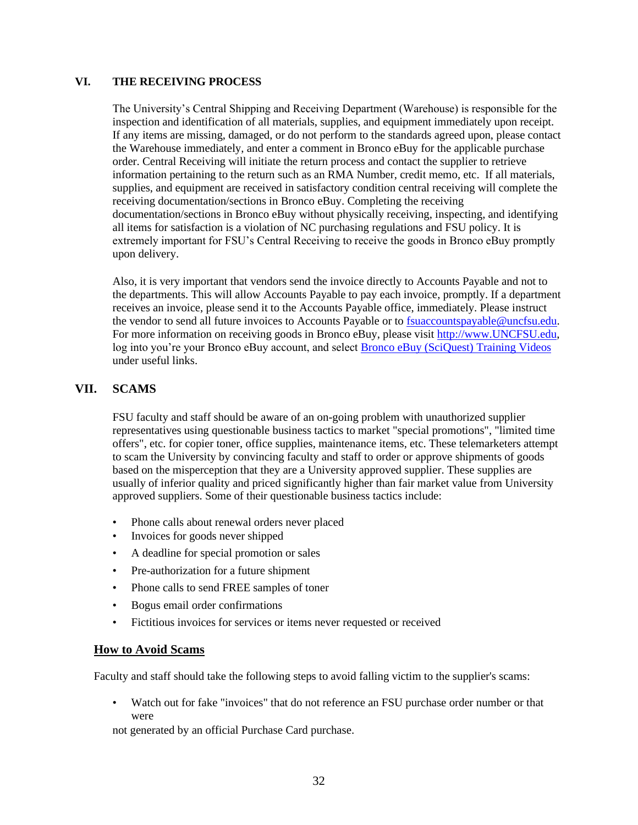#### <span id="page-31-0"></span>**VI. THE RECEIVING PROCESS**

The University's Central Shipping and Receiving Department (Warehouse) is responsible for the inspection and identification of all materials, supplies, and equipment immediately upon receipt. If any items are missing, damaged, or do not perform to the standards agreed upon, please contact the Warehouse immediately, and enter a comment in Bronco eBuy for the applicable purchase order. Central Receiving will initiate the return process and contact the supplier to retrieve information pertaining to the return such as an RMA Number, credit memo, etc. If all materials, supplies, and equipment are received in satisfactory condition central receiving will complete the receiving documentation/sections in Bronco eBuy. Completing the receiving documentation/sections in Bronco eBuy without physically receiving, inspecting, and identifying all items for satisfaction is a violation of NC purchasing regulations and FSU policy. It is extremely important for FSU's Central Receiving to receive the goods in Bronco eBuy promptly upon delivery.

Also, it is very important that vendors send the invoice directly to Accounts Payable and not to the departments. This will allow Accounts Payable to pay each invoice, promptly. If a department receives an invoice, please send it to the Accounts Payable office, immediately. Please instruct the vendor to send all future invoices to Accounts Payable or to [fsuaccountspayable@uncfsu.edu.](mailto:fsuaccountspayable@uncfsu.edu) For more information on receiving goods in Bronco eBuy, please visit [http://www.UNCFSU.edu,](http://www.uncfsu.edu/) log into you're your Bronco eBuy account, and select Bronco eBuy [\(SciQuest\)](http://library.sciquest.com/training-videos) Training Videos under useful links.

### **VII. SCAMS**

FSU faculty and staff should be aware of an on-going problem with unauthorized supplier representatives using questionable business tactics to market "special promotions", "limited time offers", etc. for copier toner, office supplies, maintenance items, etc. These telemarketers attempt to scam the University by convincing faculty and staff to order or approve shipments of goods based on the misperception that they are a University approved supplier. These supplies are usually of inferior quality and priced significantly higher than fair market value from University approved suppliers. Some of their questionable business tactics include:

- Phone calls about renewal orders never placed
- Invoices for goods never shipped
- A deadline for special promotion or sales
- Pre-authorization for a future shipment
- Phone calls to send FREE samples of toner
- Bogus email order confirmations
- Fictitious invoices for services or items never requested or received

### **How to Avoid Scams**

Faculty and staff should take the following steps to avoid falling victim to the supplier's scams:

• Watch out for fake "invoices" that do not reference an FSU purchase order number or that were

not generated by an official Purchase Card purchase.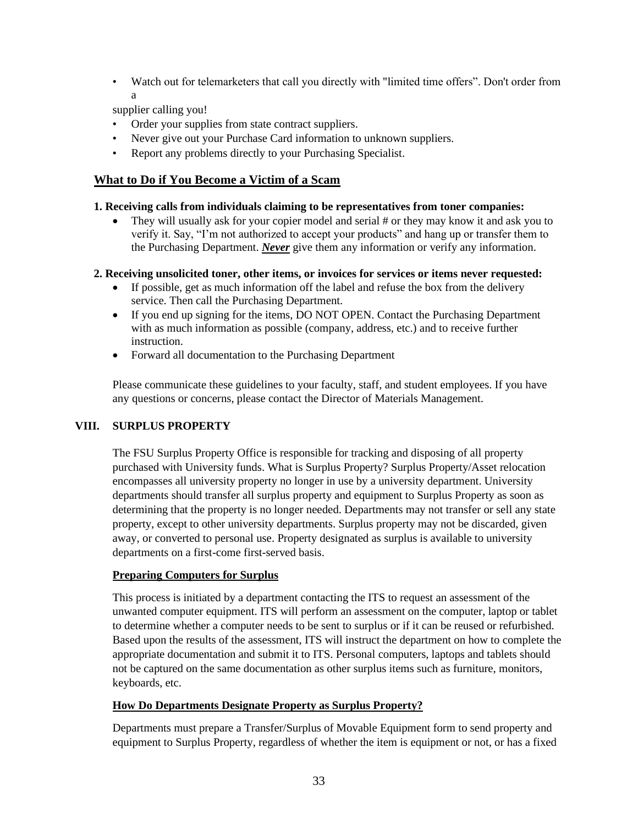• Watch out for telemarketers that call you directly with "limited time offers". Don't order from a

supplier calling you!

- Order your supplies from state contract suppliers.
- Never give out your Purchase Card information to unknown suppliers.
- Report any problems directly to your Purchasing Specialist.

### **What to Do if You Become a Victim of a Scam**

#### **1. Receiving calls from individuals claiming to be representatives from toner companies:**

• They will usually ask for your copier model and serial # or they may know it and ask you to verify it. Say, "I'm not authorized to accept your products" and hang up or transfer them to the Purchasing Department. *Never* give them any information or verify any information.

**2. Receiving unsolicited toner, other items, or invoices for services or items never requested:** 

- If possible, get as much information off the label and refuse the box from the delivery service. Then call the Purchasing Department.
- If you end up signing for the items, DO NOT OPEN. Contact the Purchasing Department with as much information as possible (company, address, etc.) and to receive further instruction.
- Forward all documentation to the Purchasing Department

Please communicate these guidelines to your faculty, staff, and student employees. If you have any questions or concerns, please contact the Director of Materials Management.

#### <span id="page-32-0"></span>**VIII. SURPLUS PROPERTY**

The FSU Surplus Property Office is responsible for tracking and disposing of all property purchased with University funds. What is Surplus Property? Surplus Property/Asset relocation encompasses all university property no longer in use by a university department. University departments should transfer all surplus property and equipment to Surplus Property as soon as determining that the property is no longer needed. Departments may not transfer or sell any state property, except to other university departments. Surplus property may not be discarded, given away, or converted to personal use. Property designated as surplus is available to university departments on a first-come first-served basis.

#### **Preparing Computers for Surplus**

This process is initiated by a department contacting the ITS to request an assessment of the unwanted computer equipment. ITS will perform an assessment on the computer, laptop or tablet to determine whether a computer needs to be sent to surplus or if it can be reused or refurbished. Based upon the results of the assessment, ITS will instruct the department on how to complete the appropriate documentation and submit it to ITS. Personal computers, laptops and tablets should not be captured on the same documentation as other surplus items such as furniture, monitors, keyboards, etc.

#### **How Do Departments Designate Property as Surplus Property?**

Departments must prepare a Transfer/Surplus of Movable Equipment form to send property and equipment to Surplus Property, regardless of whether the item is equipment or not, or has a fixed